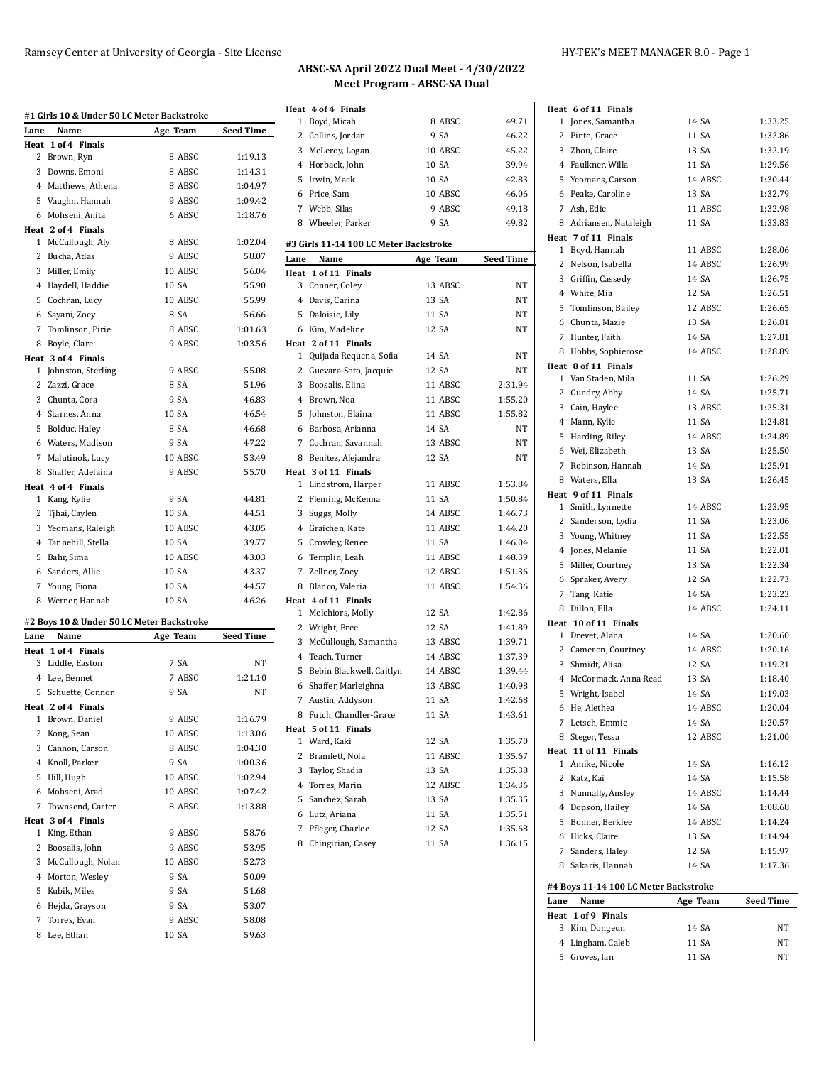|              | #1 Girls 10 & Under 50 LC Meter Backstroke |          |                  |
|--------------|--------------------------------------------|----------|------------------|
| Lane         | Name                                       | Age Team | <b>Seed Time</b> |
| Heat         | 1 of 4 Finals                              |          |                  |
| 2            | Brown, Ryn                                 | 8 ABSC   | 1:19.13          |
|              | 3 Downs, Emoni                             | 8 ABSC   | 1:14.31          |
|              | 4 Matthews, Athena                         | 8 ABSC   | 1:04.97          |
|              | 5 Vaughn, Hannah                           | 9 ABSC   | 1:09.42          |
|              | 6 Mohseni, Anita                           | 6 ABSC   | 1:18.76          |
|              | Heat 2 of 4 Finals                         |          |                  |
|              | 1 McCullough, Aly                          | 8 ABSC   | 1:02.04          |
|              | 2 Bucha, Atlas                             | 9 ABSC   | 58.07            |
|              | 3 Miller, Emily                            | 10 ABSC  | 56.04            |
|              | 4 Haydell, Haddie                          | 10 SA    | 55.90            |
|              | 5 Cochran, Lucy                            | 10 ABSC  | 55.99            |
|              | 6 Sayani, Zoey                             | 8 SA     | 56.66            |
|              | 7 Tomlinson, Pirie                         | 8 ABSC   | 1:01.63          |
|              | 8 Boyle, Clare                             | 9 ABSC   | 1:03.56          |
|              | Heat 3 of 4 Finals                         |          |                  |
|              | 1 Johnston, Sterling                       | 9 ABSC   | 55.08            |
| $\mathbf{2}$ | Zazzi, Grace                               | 8 SA     | 51.96            |
|              | 3 Chunta, Cora                             | 9 SA     | 46.83            |
|              | 4 Starnes, Anna                            | 10 SA    | 46.54            |
|              | 5 Bolduc, Haley                            | 8 SA     | 46.68            |
|              | 6 Waters, Madison                          | 9 SA     | 47.22            |
|              | 7 Malutinok, Lucy                          | 10 ABSC  | 53.49            |
|              | 8 Shaffer, Adelaina                        | 9 ABSC   | 55.70            |
|              | Heat 4 of 4 Finals                         |          |                  |
| 1            | Kang, Kylie                                | 9 SA     | 44.81            |
| 2            | Tjhai, Caylen                              | 10 SA    | 44.51            |
|              | 3 Yeomans, Raleigh                         | 10 ABSC  | 43.05            |
|              | 4 Tannehill, Stella                        | 10 SA    | 39.77            |
|              | 5 Bahr, Sima                               | 10 ABSC  | 43.03            |
|              | 6 Sanders, Allie                           | 10 SA    | 43.37            |
| 7            | Young, Fiona                               | 10 SA    | 44.57            |
|              | 8 Werner, Hannah                           | 10 SA    | 46.26            |
|              | #2 Boys 10 & Under 50 LC Meter Backstroke  |          |                  |
| Lane         | Name                                       | Age Team | <b>Seed Time</b> |
|              | Heat 1 of 4 Finals                         |          |                  |
|              | 3 Liddle, Easton                           | 7 SA     | NT               |
|              | 4 Lee, Bennet                              | 7 ABSC   | 1:21.10          |
| 5            | Schuette, Connor                           | 9 SA     | NΤ               |
|              | Heat 2 of 4 Finals                         |          |                  |
|              | 1 Brown, Daniel                            | 9 ABSC   | 1:16.79          |
|              | 2 Kong, Sean                               | 10 ABSC  | 1:13.06          |
|              | 3 Cannon, Carson                           | 8 ABSC   | 1:04.30          |
|              | 4 Knoll, Parker                            | 9 SA     | 1:00.36          |
|              | 5 Hill, Hugh                               | 10 ABSC  | 1:02.94          |
|              | 6 Mohseni, Arad                            | 10 ABSC  | 1:07.42          |
| 7            | Townsend, Carter                           | 8 ABSC   | 1:13.88          |
|              | Heat 3 of 4 Finals                         |          |                  |
| $\mathbf{1}$ | King, Ethan                                | 9 ABSC   | 58.76            |
|              | 2 Boosalis, John                           | 9 ABSC   | 53.95            |
|              | 3 McCullough, Nolan                        | 10 ABSC  | 52.73            |
|              | 4 Morton, Wesley                           | 9 SA     | 50.09            |
|              | 5 Kubik, Miles                             | 9 SA     | 51.68            |
|              | 6 Hejda, Grayson                           | 9 SA     | 53.07            |
| 7            | Torres, Evan                               | 9 ABSC   | 58.08            |
|              |                                            |          |                  |
| 8            | Lee, Ethan                                 | 10 SA    | 59.63            |

| Heat 4 of 4 Finals                     |          | 49.71            |
|----------------------------------------|----------|------------------|
| Boyd, Micah<br>1                       | 8 ABSC   |                  |
| 2<br>Collins, Jordan                   | 9 SA     | 46.22            |
| 3 McLeroy, Logan                       | 10 ABSC  | 45.22            |
| 4 Horback, John                        | 10 SA    | 39.94            |
| Irwin, Mack<br>5                       | 10 SA    | 42.83            |
| 6 Price, Sam                           | 10 ABSC  | 46.06            |
| 7 Webb, Silas                          | 9 ABSC   | 49.18            |
| 8 Wheeler, Parker                      | 9 SA     | 49.82            |
| #3 Girls 11-14 100 LC Meter Backstroke |          |                  |
| Name<br>Lane                           | Age Team | <b>Seed Time</b> |
| Heat 1 of 11 Finals                    |          |                  |
| Conner, Coley<br>3                     | 13 ABSC  | ΝT               |
| 4 Davis, Carina                        | 13 SA    | NT               |
| 5<br>Daloisio, Lily                    | 11 SA    | NT               |
| 6 Kim, Madeline                        | 12 SA    | NT               |
| Heat 2 of 11 Finals                    |          |                  |
| Quijada Requena, Sofia<br>1            | 14 SA    | NT               |
| 2<br>Guevara-Soto, Jacquie             | 12 SA    | NT               |
| 3<br>Boosalis, Elina                   | 11 ABSC  | 2:31.94          |
| 4<br>Brown, Noa                        | 11 ABSC  | 1:55.20          |
| 5<br>Johnston, Elaina                  | 11 ABSC  | 1:55.82          |
| Barbosa, Arianna<br>6                  | 14 SA    | NT               |
| 7 Cochran, Savannah                    | 13 ABSC  | NT               |
| 8 Benitez, Alejandra                   | 12 SA    | NT               |
| Heat 3 of 11 Finals                    |          |                  |
| Lindstrom, Harper<br>1                 | 11 ABSC  | 1:53.84          |
| 2<br>Fleming, McKenna                  | 11 SA    | 1:50.84          |
| 3<br>Suggs, Molly                      | 14 ABSC  | 1:46.73          |
| 4 Graichen, Kate                       | 11 ABSC  | 1:44.20          |
| 5<br>Crowley, Renee                    | 11 SA    | 1:46.04          |
| Templin, Leah<br>6                     | 11 ABSC  | 1:48.39          |
| 7 Zellner, Zoey                        | 12 ABSC  | 1:51.36          |
| 8 Blanco, Valeria                      | 11 ABSC  | 1:54.36          |
| Heat 4 of 11 Finals                    |          |                  |
| Melchiors, Molly<br>1                  | 12 SA    | 1:42.86          |
| 2 Wright, Bree                         | 12 SA    | 1:41.89          |
| 3<br>McCullough, Samantha              | 13 ABSC  | 1:39.71          |
| 4 Teach, Turner                        | 14 ABSC  | 1:37.39          |
| 5<br>Bebin Blackwell, Caitlyn          | 14 ABSC  | 1:39.44          |
| Shaffer, Marleighna<br>6               | 13 ABSC  | 1:40.98          |
| 7 Austin, Addyson                      | 11 SA    | 1:42.68          |
| 8 Futch, Chandler-Grace                | 11 SA    | 1:43.61          |
| Heat 5 of 11 Finals                    |          |                  |
| Ward, Kaki<br>1                        | 12 SA    | 1:35.70          |
| 2<br>Bramlett, Nola                    | 11 ABSC  | 1:35.67          |
| 3<br>Taylor, Shadia                    | 13 SA    | 1:35.38          |
| 4 Torres, Marin                        | 12 ABSC  | 1:34.36          |
|                                        | 13 SA    |                  |
| Sanchez, Sarah<br>5                    |          | 1:35.35          |
| Lutz, Ariana<br>6                      | 11 SA    | 1:35.51          |
| 7<br>Pfleger, Charlee                  | 12 SA    | 1:35.68          |
| Chingirian, Casey<br>8                 | 11 SA    | 1:36.15          |

|      | Heat 6 of 11 Finals                      |          |           |
|------|------------------------------------------|----------|-----------|
|      | 1 Jones, Samantha                        | 14 SA    | 1:33.25   |
|      | 2 Pinto, Grace                           | 11 SA    | 1:32.86   |
|      | 3 Zhou, Claire                           | 13 SA    | 1:32.19   |
|      | 4 Faulkner, Willa                        | 11 SA    | 1:29.56   |
|      | 5 Yeomans, Carson                        | 14 ABSC  | 1:30.44   |
|      | 6 Peake, Caroline                        | 13 SA    | 1:32.79   |
|      | 7 Ash, Edie                              | 11 ABSC  | 1:32.98   |
|      | 8 Adriansen, Nataleigh                   | 11 SA    | 1:33.83   |
|      | Heat 7 of 11 Finals                      |          |           |
|      | 1 Boyd, Hannah                           | 11 ABSC  | 1:28.06   |
|      | 2 Nelson, Isabella                       | 14 ABSC  | 1:26.99   |
|      | 3 Griffin, Cassedy                       | 14 SA    | 1:26.75   |
|      | 4 White, Mia                             | 12 SA    | 1:26.51   |
|      | 5 Tomlinson, Bailey                      | 12 ABSC  | 1:26.65   |
|      | 6 Chunta, Mazie                          | 13 SA    | 1:26.81   |
|      | 7 Hunter, Faith                          | 14 SA    | 1:27.81   |
|      | 8 Hobbs, Sophierose                      | 14 ABSC  | 1:28.89   |
|      | Heat 8 of 11 Finals                      |          |           |
|      | 1 Van Staden, Mila                       | 11 SA    | 1:26.29   |
|      | 2 Gundry, Abby                           | 14 SA    | 1:25.71   |
|      | 3 Cain, Haylee                           | 13 ABSC  | 1:25.31   |
|      | 4 Mann, Kylie                            | 11 SA    | 1:24.81   |
|      | 5 Harding, Riley                         | 14 ABSC  | 1:24.89   |
|      | 6 Wei, Elizabeth                         | 13 SA    | 1:25.50   |
|      | 7 Robinson, Hannah                       | 14 SA    | 1:25.91   |
|      | 8 Waters, Ella                           | 13 SA    | 1:26.45   |
|      | Heat 9 of 11 Finals<br>1 Smith, Lynnette | 14 ABSC  | 1:23.95   |
|      | 2 Sanderson, Lydia                       | 11 SA    | 1:23.06   |
|      | 3 Young, Whitney                         | 11 SA    | 1:22.55   |
|      | 4 Jones, Melanie                         | 11 SA    | 1:22.01   |
|      | 5 Miller, Courtney                       | 13 SA    | 1:22.34   |
|      | 6 Spraker, Avery                         | 12 SA    | 1:22.73   |
|      | 7 Tang, Katie                            | 14 SA    | 1:23.23   |
|      | 8 Dillon, Ella                           | 14 ABSC  | 1:24.11   |
|      | Heat 10 of 11 Finals                     |          |           |
|      | 1 Drevet, Alana                          | 14 SA    | 1:20.60   |
|      | 2 Cameron, Courtney                      | 14 ABSC  | 1:20.16   |
|      | 3 Shmidt, Alisa                          | 12 SA    | 1:19.21   |
|      | 4 McCormack, Anna Read                   | 13 SA    | 1:18.40   |
| 5    | Wright, Isabel                           | 14 SA    | 1:19.03   |
|      | 6 He, Alethea                            | 14 ABSC  | 1:20.04   |
|      | 7 Letsch, Emmie                          | 14 SA    | 1:20.57   |
|      | 8 Steger, Tessa                          | 12 ABSC  | 1:21.00   |
|      | Heat 11 of 11 Finals                     |          |           |
|      | 1 Amike, Nicole                          | 14 SA    | 1:16.12   |
|      | 2 Katz, Kai                              | 14 SA    | 1:15.58   |
|      | 3 Nunnally, Ansley                       | 14 ABSC  | 1:14.44   |
|      | 4 Dopson, Hailey                         | 14 SA    | 1:08.68   |
|      | 5 Bonner, Berklee                        | 14 ABSC  | 1:14.24   |
|      | 6 Hicks, Claire                          | 13 SA    | 1:14.94   |
|      | 7 Sanders, Haley                         | 12 SA    | 1:15.97   |
|      | 8 Sakaris, Hannah                        | 14 SA    | 1:17.36   |
|      | #4 Boys 11-14 100 LC Meter Backstroke    |          |           |
| Lane | Name                                     | Age Team | Seed Time |
|      | Heat 1 of 9 Finals                       |          |           |
|      | 3 Kim, Dongeun                           | 14 SA    | NΤ        |
|      | 4 Lingham, Caleb                         | 11 SA    | NΤ        |
|      | 5 Groves, Ian                            | 11 SA    | NΤ        |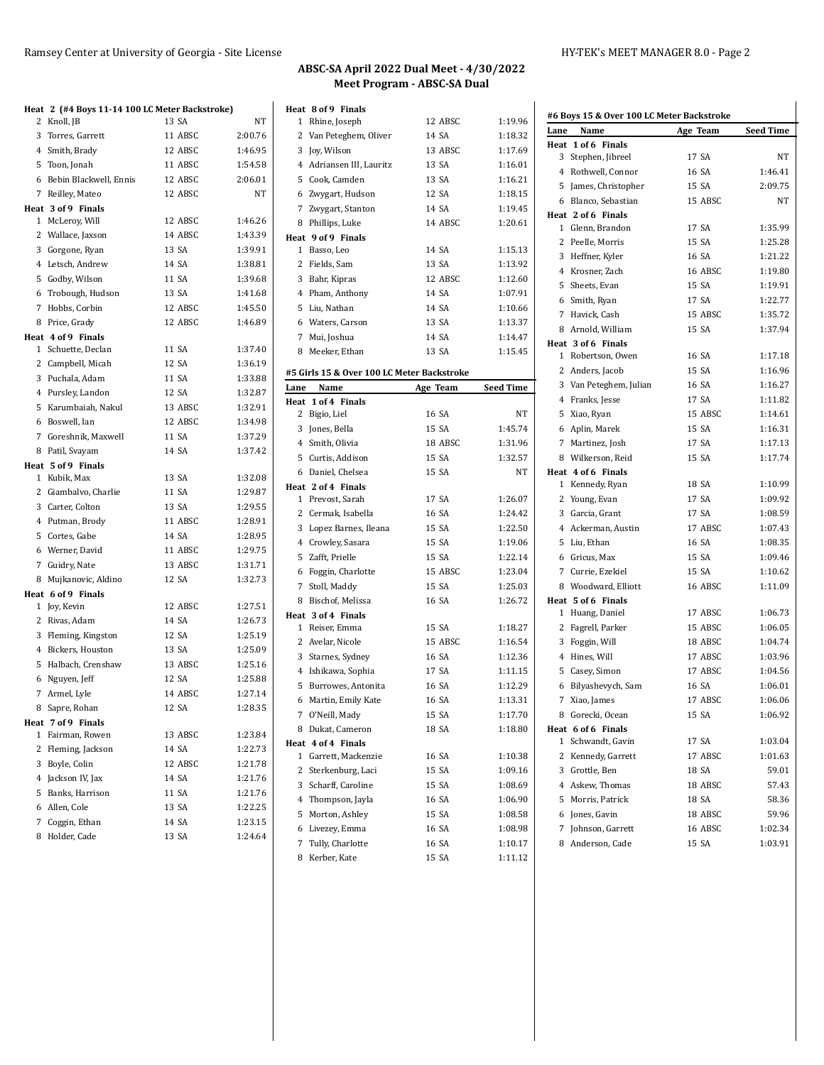| ABSC-SA April 2022 Dual Meet - 4/30/2022 |  |
|------------------------------------------|--|
| Meet Program - ABSC-SA Dual              |  |

1 Rhine, Joseph 12 ABSC 2 Van Peteghem, Oliver 14 SA 3 Joy, Wilson 13 ABSC 4 Adriansen III, Lauritz 13 SA 5 Cook, Camden 13 SA 6 Zwygart, Hudson 12 SA 7 Zwygart, Stanton 14 SA 8 Phillips, Luke 14 ABSC

1 Basso, Leo 14 SA 2 Fields, Sam 13 SA 3 Bahr, Kipras 12 ABSC 4 Pham, Anthony 14 SA 5 Liu, Nathan 14 SA 6 Waters, Carson 13 SA 7 Mui, Joshua 14 SA 8 Meeker, Ethan 13 SA **#5 Girls 15 & Over 100 LC Meter Backstroke Lane Name Age Team** 

2 Bigio, Liel 16 SA 3 Jones, Bella 15 SA 4 Smith, Olivia 18 ABSC 5 Curtis, Addison 15 SA 6 Daniel, Chelsea 15 SA

1 Prevost, Sarah 17 SA 2 Cermak, Isabella 16 SA 3 Lopez Barnes, Ileana 15 SA 4 Crowley, Sasara 15 SA 5 Zafft, Prielle 15 SA 6 Foggin, Charlotte 15 ABSC 7 Stoll, Maddy 15 SA 8 Bischof, Melissa 16 SA

1 Reiser, Emma 15 SA 2 Avelar, Nicole 15 ABSC 3 Starnes, Sydney 16 SA 4 Ishikawa, Sophia 17 SA 5 Burrowes, Antonita 16 SA 6 Martin, Emily Kate 16 SA 7 O'Neill, Mady 15 SA 8 Dukat, Cameron 18 SA

1 Garrett, Mackenzie 16 SA 2 Sterkenburg, Laci 15 SA 3 Scharff, Caroline 15 SA 4 Thompson, Jayla 16 SA 5 Morton, Ashley 15 SA 6 Livezey, Emma 16 SA 7 Tully, Charlotte 16 SA

8 Kerber, Kate 15 SA 1:11.12

**Heat 8 of 9 Finals**

**Heat 9 of 9 Finals**

**Heat 1 of 4 Finals**

**Heat 2 of 4 Finals**

**Heat 3 of 4 Finals**

**Heat 4 of 4 Finals**

| 1:19.96            | Lane | #6 Boys 15 & Over 100 LC Meter Backstroke<br>Name | Age Team | Seed Time |
|--------------------|------|---------------------------------------------------|----------|-----------|
| 1:18.32            |      | Heat 1 of 6 Finals                                |          |           |
| 1:17.69<br>1:16.01 |      | 3 Stephen, Jibreel                                | 17 SA    | NT        |
| 1:16.21            |      | 4 Rothwell, Connor                                | 16 SA    | 1:46.41   |
|                    |      | 5 James, Christopher                              | 15 SA    | 2:09.75   |
|                    |      | 6 Blanco, Sebastian                               | 15 ABSC  | NT        |
| 1:19.45            |      | Heat 2 of 6 Finals                                |          |           |
| 1:20.61            |      | 1 Glenn, Brandon                                  | 17 SA    | 1:35.99   |
|                    |      | 2 Peelle, Morris                                  | 15 SA    | 1:25.28   |
| 1:15.13<br>1:13.92 |      | 3 Heffner, Kyler                                  | 16 SA    | 1:21.22   |
|                    |      | 4 Krosner, Zach                                   | 16 ABSC  | 1:19.80   |
|                    |      | 5 Sheets, Evan                                    | 15 SA    | 1:19.91   |
| 1:07.91            |      | 6 Smith, Ryan                                     | 17 SA    | 1:22.77   |
| 1:10.66            |      | 7 Havick, Cash                                    | 15 ABSC  | 1:35.72   |
|                    |      | 8 Arnold, William                                 | 15 SA    | 1:37.94   |
| 1:14.47            |      | Heat 3 of 6 Finals                                |          |           |
| 1:15.45            |      | 1 Robertson, Owen                                 | 16 SA    | 1:17.18   |
|                    |      | 2 Anders, Jacob                                   | 15 SA    | 1:16.96   |
| <b>Seed Time</b>   |      | 3 Van Peteghem, Julian                            | 16 SA    | 1:16.27   |
|                    |      | 4 Franks, Jesse                                   | 17 SA    | 1:11.82   |
| NΤ                 |      | 5 Xiao, Ryan                                      | 15 ABSC  | 1:14.61   |
| 1:45.74            |      | 6 Aplin, Marek                                    | 15 SA    | 1:16.31   |
| 1:31.96            |      | 7 Martinez, Josh                                  | 17 SA    | 1:17.13   |
| 1:32.57            |      | 8 Wilkerson, Reid                                 | 15 SA    | 1:17.74   |
| NT                 |      | Heat 4 of 6 Finals                                |          |           |
|                    |      | 1 Kennedy, Ryan                                   | 18 SA    | 1:10.99   |
| 1:26.07            |      | 2 Young, Evan                                     | 17 SA    | 1:09.92   |
| 1:24.42            |      | 3 Garcia, Grant                                   | 17 SA    | 1:08.59   |
| 1:22.50            |      | 4 Ackerman, Austin                                | 17 ABSC  | 1:07.43   |
|                    |      | 5 Liu, Ethan                                      | 16 SA    | 1:08.35   |
| 1:22.14            |      | 6 Gricus, Max                                     | 15 SA    | 1:09.46   |
| 1:23.04            |      | 7 Currie, Ezekiel                                 | 15 SA    | 1:10.62   |
| 1:25.03            |      | 8 Woodward, Elliott                               | 16 ABSC  | 1:11.09   |
| 1:26.72            |      | Heat 5 of 6 Finals                                |          |           |
|                    |      | 1 Huang, Daniel                                   | 17 ABSC  | 1:06.73   |
| 1:18.27            |      | 2 Fagrell, Parker                                 | 15 ABSC  | 1:06.05   |
| 1:16.54            |      | 3 Foggin, Will                                    | 18 ABSC  | 1:04.74   |
| 1:12.36            |      | 4 Hines, Will                                     | 17 ABSC  | 1:03.96   |
| 1:11.15            |      | 5 Casey, Simon                                    | 17 ABSC  | 1:04.56   |
| 1:12.29            |      | 6 Bilyashevych, Sam                               | 16 SA    | 1:06.01   |
| 1:13.31            |      | 7 Xiao, James                                     | 17 ABSC  | 1:06.06   |
| 1:17.70            |      | 8 Gorecki, Ocean                                  | 15 SA    | 1:06.92   |
| 1:18.80            |      | Heat 6 of 6 Finals                                |          |           |
|                    |      | 1 Schwandt, Gavin                                 | 17 SA    | 1:03.04   |
| 1:10.38            |      | 2 Kennedy, Garrett                                | 17 ABSC  | 1:01.63   |
| 1:09.16            |      | 3 Grottle, Ben                                    | 18 SA    | 59.01     |
| 1:08.69            |      | 4 Askew, Thomas                                   | 18 ABSC  | 57.43     |
| 1:06.90            |      | 5 Morris, Patrick                                 | 18 SA    | 58.36     |
| 1:08.58            |      | 6 Jones, Gavin                                    | 18 ABSC  | 59.96     |
| 1:08.98            |      | 7 Johnson, Garrett                                | 16 ABSC  | 1:02.34   |
| 1:10.17            |      | 8 Anderson, Cade                                  | 15 SA    | 1:03.91   |

| 2 | Heat 2 (#4 Boys 11-14 100 LC Meter Backstroke)<br>Knoll, JB | 13 SA   | <b>NT</b> |
|---|-------------------------------------------------------------|---------|-----------|
|   | 3 Torres, Garrett                                           | 11 ABSC | 2:00.76   |
|   | 4 Smith, Brady                                              | 12 ABSC | 1:46.95   |
|   | 5 Toon, Jonah                                               | 11 ABSC | 1:54.58   |
|   | 6 Bebin Blackwell, Ennis                                    | 12 ABSC | 2:06.01   |
|   | 7 Reilley, Mateo                                            | 12 ABSC | NT        |
|   | Heat 3 of 9 Finals                                          |         |           |
|   | 1 McLeroy, Will                                             | 12 ABSC | 1:46.26   |
|   | 2 Wallace, Jaxson                                           | 14 ABSC | 1:43.39   |
|   | 3 Gorgone, Ryan                                             | 13 SA   | 1:39.91   |
|   | 4 Letsch, Andrew                                            | 14 SA   | 1:38.81   |
|   | 5 Godby, Wilson                                             | 11 SA   | 1:39.68   |
|   | 6 Trobough, Hudson                                          | 13 SA   | 1:41.68   |
|   | 7 Hobbs, Corbin                                             | 12 ABSC | 1:45.50   |
|   | 8 Price, Grady                                              | 12 ABSC | 1:46.89   |
|   | Heat 4 of 9 Finals                                          |         |           |
|   | 1 Schuette, Declan                                          | 11 SA   | 1:37.40   |
|   | 2 Campbell, Micah                                           | 12 SA   | 1:36.19   |
|   | 3 Puchala, Adam                                             | 11 SA   | 1:33.88   |
|   | 4 Pursley, Landon                                           | 12 SA   | 1:32.87   |
|   | 5 Karumbaiah, Nakul                                         | 13 ABSC | 1:32.91   |
|   | 6 Boswell, Ian                                              | 12 ABSC | 1:34.98   |
|   | 7 Goreshnik, Maxwell                                        | 11 SA   | 1:37.29   |
|   | 8 Patil, Svayam                                             | 14 SA   | 1:37.42   |
|   | Heat 5 of 9 Finals                                          |         |           |
|   | 1 Kubik, Max                                                | 13 SA   | 1:32.08   |
|   | 2 Giambalvo, Charlie                                        | 11 SA   | 1:29.87   |
|   | 3 Carter, Colton                                            | 13 SA   | 1:29.55   |
|   | 4 Putman, Brody                                             | 11 ABSC | 1:28.91   |
|   | 5 Cortes, Gabe                                              | 14 SA   | 1:28.95   |
|   | 6 Werner, David                                             | 11 ABSC | 1:29.75   |
|   | 7 Guidry, Nate                                              | 13 ABSC | 1:31.71   |
|   | 8 Mujkanovic, Aldino                                        | 12 SA   | 1:32.73   |
|   | Heat 6 of 9 Finals                                          |         |           |
|   | 1 Joy, Kevin                                                | 12 ABSC | 1:27.51   |
|   | 2 Rivas, Adam                                               | 14 SA   | 1:26.73   |
|   | 3 Fleming, Kingston                                         | 12 SA   | 1:25.19   |
|   | 4 Bickers, Houston                                          | 13 SA   | 1:25.09   |
|   | 5 Halbach, Crenshaw                                         | 13 ABSC | 1:25.16   |
| 6 | Nguyen, Jeff                                                | 12 SA   | 1:25.88   |
| 7 | Armel, Lyle                                                 | 14 ABSC | 1:27.14   |
| 8 | Sapre, Rohan                                                | 12 SA   | 1:28.35   |
|   | Heat 7 of 9 Finals                                          |         |           |
|   | 1 Fairman, Rowen                                            | 13 ABSC | 1:23.84   |
|   | 2 Fleming, Jackson                                          | 14 SA   | 1:22.73   |
|   | 3 Boyle, Colin                                              | 12 ABSC | 1:21.78   |
|   | 4 Jackson IV, Jax                                           | 14 SA   | 1:21.76   |
|   | 5 Banks, Harrison                                           | 11 SA   | 1:21.76   |
|   | 6 Allen, Cole                                               | 13 SA   | 1:22.25   |
|   | 7 Coggin, Ethan                                             | 14 SA   | 1:23.15   |
| 8 | Holder, Cade                                                | 13 SA   | 1:24.64   |
|   |                                                             |         |           |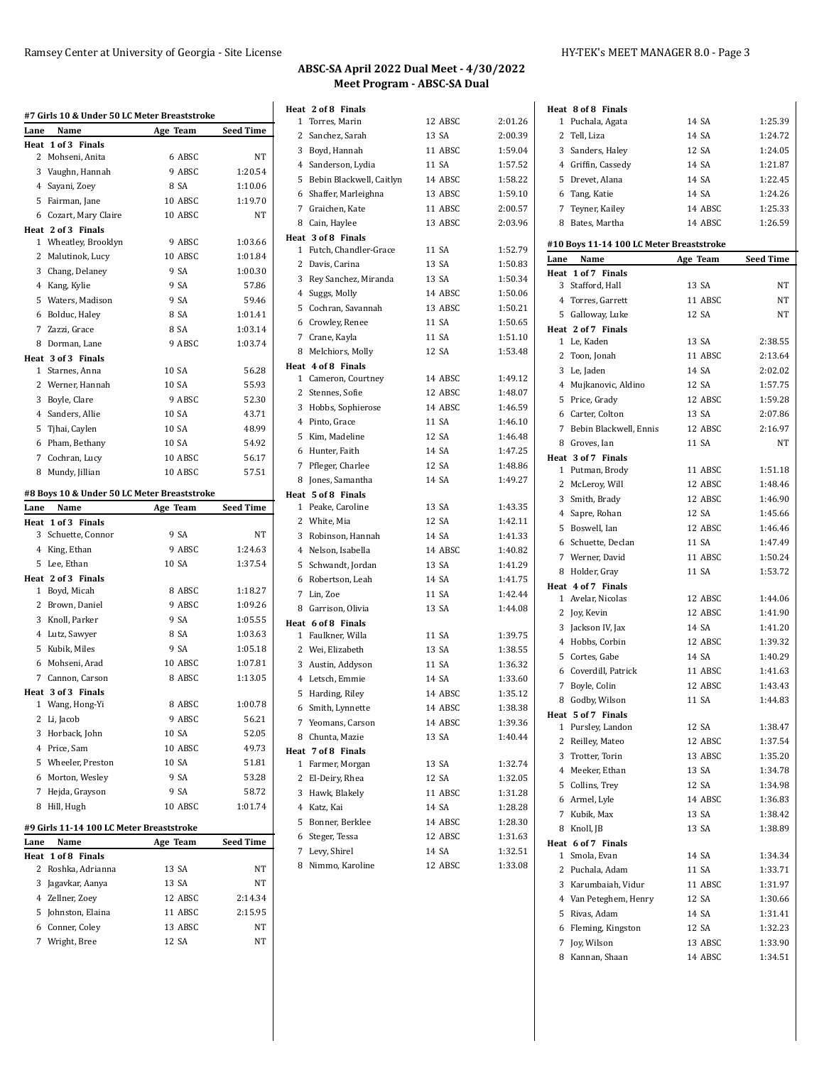|              | #7 Girls 10 & Under 50 LC Meter Breaststroke        |          |                  |
|--------------|-----------------------------------------------------|----------|------------------|
| Lane         | Name                                                | Age Team | Seed Time        |
|              | Heat 1 of 3 Finals                                  |          |                  |
| 2            | Mohseni, Anita                                      | 6 ABSC   | NΤ               |
|              | 3 Vaughn, Hannah                                    | 9 ABSC   | 1:20.54          |
|              | 4 Sayani, Zoey                                      | 8 SA     | 1:10.06          |
|              | 5 Fairman, Jane                                     | 10 ABSC  | 1:19.70          |
|              | 6 Cozart, Mary Claire                               | 10 ABSC  | NT               |
|              | Heat 2 of 3 Finals                                  |          |                  |
| $\mathbf{1}$ | Wheatley, Brooklyn                                  | 9 ABSC   | 1:03.66          |
| 2            | Malutinok, Lucy                                     | 10 ABSC  | 1:01.84          |
|              | 3 Chang, Delaney                                    | 9 SA     | 1:00.30          |
|              | 4 Kang, Kylie                                       | 9 SA     | 57.86            |
|              | 5 Waters, Madison                                   | 9 SA     | 59.46            |
|              | 6 Bolduc, Haley                                     | 8 SA     | 1:01.41          |
|              | 7 Zazzi, Grace                                      | 8 SA     | 1:03.14          |
|              | 8 Dorman, Lane                                      | 9 ABSC   | 1:03.74          |
|              | Heat 3 of 3 Finals                                  |          |                  |
| 1            | Starnes, Anna                                       | 10 SA    | 56.28            |
| 2            | Werner, Hannah                                      | 10 SA    | 55.93            |
|              | 3 Boyle, Clare                                      | 9 ABSC   | 52.30            |
|              | 4 Sanders, Allie                                    | 10 SA    | 43.71            |
| 5            | Tjhai, Caylen                                       | 10 SA    | 48.99            |
|              | 6 Pham, Bethany                                     | 10 SA    | 54.92            |
| 7            | Cochran, Lucy                                       | 10 ABSC  | 56.17            |
| 8            | Mundy, Jillian                                      | 10 ABSC  | 57.51            |
|              |                                                     |          |                  |
| Lane         | #8 Boys 10 & Under 50 LC Meter Breaststroke<br>Name |          | <b>Seed Time</b> |
|              | Heat 1 of 3 Finals                                  | Age Team |                  |
|              | 3 Schuette, Connor                                  | 9 SA     | NT               |
|              | 4 King, Ethan                                       | 9 ABSC   | 1:24.63          |
| 5            | Lee, Ethan                                          | 10 SA    | 1:37.54          |
|              | Heat 2 of 3 Finals                                  |          |                  |
| $\mathbf{1}$ | Boyd, Micah                                         | 8 ABSC   | 1:18.27          |
|              | 2 Brown, Daniel                                     | 9 ABSC   | 1:09.26          |
|              | 3 Knoll, Parker                                     | 9 SA     | 1:05.55          |
|              | 4 Lutz, Sawyer                                      | 8 SA     | 1:03.63          |
|              | 5 Kubik, Miles                                      | 9 SA     | 1:05.18          |
|              | 6 Mohseni, Arad                                     | 10 ABSC  | 1:07.81          |
| 7            | Cannon, Carson                                      | 8 ABSC   | 1:13.05          |
|              | Heat 3 of 3 Finals                                  |          |                  |
|              | 1 Wang, Hong-Yi                                     | 8 ABSC   | 1:00.78          |
|              | 2 Li, Jacob                                         | 9 ABSC   | 56.21            |
| 3            | Horback, John                                       | 10 SA    | 52.05            |
|              | 4 Price, Sam                                        | 10 ABSC  | 49.73            |
|              | 5 Wheeler, Preston                                  | 10 SA    | 51.81            |
|              | 6 Morton, Wesley                                    | 9 SA     | 53.28            |
|              | 7 Hejda, Grayson                                    | 9 SA     | 58.72            |
| 8            | Hill, Hugh                                          | 10 ABSC  | 1:01.74          |
|              |                                                     |          |                  |
|              | #9 Girls 11-14 100 LC Meter Breaststroke            |          |                  |
| Lane         | Name                                                | Age Team | <b>Seed Time</b> |
| Heat         | 1 of 8 Finals                                       |          |                  |
| 2            | Roshka, Adrianna                                    | 13 SA    | NΤ               |
|              | 3 Jagavkar, Aanya                                   | 13 SA    | NΤ               |
|              | 4 Zellner, Zoey                                     | 12 ABSC  | 2:14.34          |
|              | 5 Johnston, Elaina                                  | 11 ABSC  | 2:15.95          |
|              | 6 Conner, Coley                                     | 13 ABSC  | NΤ               |
| 7            | Wright, Bree                                        | 12 SA    | NΤ               |

 $\ddot{\phantom{a}}$ 

| Heat 2 of 8 Finals                 |         |         |
|------------------------------------|---------|---------|
| Torres, Marin<br>1                 | 12 ABSC | 2:01.26 |
| $\overline{2}$<br>Sanchez, Sarah   | 13 SA   | 2:00.39 |
| 3 Boyd, Hannah                     | 11 ABSC | 1:59.04 |
| 4<br>Sanderson, Lydia              | 11 SA   | 1:57.52 |
| 5<br>Bebin Blackwell, Caitlyn      | 14 ABSC | 1:58.22 |
| Shaffer, Marleighna<br>6           | 13 ABSC | 1:59.10 |
| 7 Graichen, Kate                   | 11 ABSC | 2:00.57 |
| 8 Cain, Haylee                     | 13 ABSC | 2:03.96 |
| Heat 3 of 8 Finals                 |         |         |
| 1 Futch, Chandler-Grace            | 11 SA   | 1:52.79 |
| 2 Davis, Carina                    | 13 SA   | 1:50.83 |
| 3<br>Rey Sanchez, Miranda          | 13 SA   | 1:50.34 |
| 4<br>Suggs, Molly                  | 14 ABSC | 1:50.06 |
| Cochran, Savannah<br>5             | 13 ABSC | 1:50.21 |
| 6 Crowley, Renee                   | 11 SA   | 1:50.65 |
| 7 Crane, Kayla                     | 11 SA   | 1:51.10 |
| 8<br>Melchiors, Molly              | 12 SA   | 1:53.48 |
| Heat 4 of 8 Finals                 |         |         |
| 1 Cameron, Courtney                | 14 ABSC | 1:49.12 |
| 2 Stennes, Sofie                   | 12 ABSC | 1:48.07 |
| 3 Hobbs, Sophierose                | 14 ABSC | 1:46.59 |
| Pinto, Grace<br>4                  | 11 SA   | 1:46.10 |
| 5<br>Kim, Madeline                 | 12 SA   | 1:46.48 |
| Hunter, Faith<br>6                 | 14 SA   | 1:47.25 |
| 7 Pfleger, Charlee                 | 12 SA   | 1:48.86 |
| Jones, Samantha<br>8               | 14 SA   | 1:49.27 |
| Heat 5 of 8 Finals                 |         |         |
| 1 Peake, Caroline                  | 13 SA   | 1:43.35 |
| 2 White, Mia                       | 12 SA   | 1:42.11 |
| Robinson, Hannah<br>3              | 14 SA   | 1:41.33 |
| Nelson, Isabella<br>$\overline{4}$ | 14 ABSC | 1:40.82 |
| 5<br>Schwandt, Jordan              | 13 SA   | 1:41.29 |
| Robertson, Leah<br>6               | 14 SA   | 1:41.75 |
| 7 Lin, Zoe                         | 11 SA   | 1:42.44 |
| 8<br>Garrison, Olivia              | 13 SA   | 1:44.08 |
| Heat 6 of 8 Finals                 |         |         |
| 1 Faulkner, Willa                  | 11 SA   | 1:39.75 |
| 2 Wei, Elizabeth                   | 13 SA   | 1:38.55 |
| 3<br>Austin, Addyson               | 11 SA   | 1:36.32 |
| $\overline{4}$<br>Letsch, Emmie    | 14 SA   | 1:33.60 |
| 5<br>Harding, Riley                | 14 ABSC | 1:35.12 |
| 6 Smith, Lynnette                  | 14 ABSC | 1:38.38 |
| 7 Yeomans, Carson                  | 14 ABSC | 1:39.36 |
| Chunta, Mazie<br>8                 | 13 SA   | 1:40.44 |
| Heat 7 of 8 Finals                 |         |         |
| 1 Farmer, Morgan                   | 13 SA   | 1:32.74 |
| 2<br>El-Deiry, Rhea                | 12 SA   | 1:32.05 |
| 3<br>Hawk, Blakely                 | 11 ABSC | 1:31.28 |
| Katz, Kai<br>4                     | 14 SA   | 1:28.28 |
| 5<br>Bonner, Berklee               | 14 ABSC | 1:28.30 |
| Steger, Tessa<br>6                 | 12 ABSC | 1:31.63 |
| 7 Levy, Shirel                     | 14 SA   | 1:32.51 |
| Nimmo, Karoline<br>8               | 12 ABSC | 1:33.08 |
|                                    |         |         |
|                                    |         |         |

|                      | Heat 8 of 8 Finals                       |          |                    |
|----------------------|------------------------------------------|----------|--------------------|
|                      | 1 Puchala, Agata                         | 14 SA    | 1:25.39            |
|                      | 2 Tell, Liza                             | 14 SA    | 1:24.72            |
|                      | 3 Sanders, Haley                         | 12 SA    | 1:24.05            |
|                      | 4 Griffin, Cassedy                       | 14 SA    | 1:21.87            |
|                      | 5 Drevet, Alana                          | 14 SA    | 1:22.45            |
|                      | 6 Tang, Katie                            | 14 SA    | 1:24.26            |
|                      | 7 Teyner, Kailey                         | 14 ABSC  | 1:25.33            |
|                      | 8 Bates, Martha                          | 14 ABSC  | 1:26.59            |
|                      |                                          |          |                    |
|                      | #10 Boys 11-14 100 LC Meter Breaststroke |          |                    |
| Lane                 | Name<br>Heat 1 of 7 Finals               | Age Team | <b>Seed Time</b>   |
|                      | 3 Stafford, Hall                         | 13 SA    | NΤ                 |
|                      | 4 Torres, Garrett                        | 11 ABSC  | NΤ                 |
|                      | 5 Galloway, Luke                         | 12 SA    | NΤ                 |
|                      | Heat 2 of 7 Finals                       |          |                    |
|                      | 1 Le, Kaden                              | 13 SA    | 2:38.55            |
|                      | 2 Toon, Jonah                            | 11 ABSC  | 2:13.64            |
|                      | 3 Le, Jaden                              | 14 SA    | 2:02.02            |
|                      | 4 Mujkanovic, Aldino                     | 12 SA    | 1:57.75            |
|                      | 5 Price, Grady                           | 12 ABSC  | 1:59.28            |
|                      | 6 Carter, Colton                         | 13 SA    | 2:07.86            |
|                      | 7 Bebin Blackwell, Ennis                 | 12 ABSC  | 2:16.97            |
|                      | 8 Groves, Ian                            | 11 SA    |                    |
|                      | Heat 3 of 7 Finals                       |          | NΤ                 |
|                      | 1 Putman, Brody                          | 11 ABSC  | 1:51.18            |
|                      | 2 McLeroy, Will                          | 12 ABSC  | 1:48.46            |
|                      |                                          | 12 ABSC  | 1:46.90            |
|                      | 3 Smith, Brady                           | 12 SA    | 1:45.66            |
|                      | 4 Sapre, Rohan                           |          |                    |
|                      | 5 Boswell, Ian                           | 12 ABSC  | 1:46.46            |
|                      | 6 Schuette, Declan                       | 11 SA    | 1:47.49            |
|                      | 7 Werner, David                          | 11 ABSC  | 1:50.24            |
|                      | 8 Holder, Gray                           | 11 SA    | 1:53.72            |
|                      | Heat 4 of 7 Finals<br>1 Avelar, Nicolas  | 12 ABSC  | 1:44.06            |
|                      |                                          | 12 ABSC  |                    |
|                      | 2 Joy, Kevin                             | 14 SA    | 1:41.90            |
|                      | 3 Jackson IV, Jax                        |          | 1:41.20            |
|                      | 4 Hobbs, Corbin<br>5 Cortes, Gabe        | 12 ABSC  | 1:39.32<br>1:40.29 |
|                      |                                          | 14 SA    |                    |
|                      | 6 Coverdill, Patrick                     | 11 ABSC  | 1:41.63            |
|                      | 7 Boyle, Colin                           | 12 ABSC  | 1:43.43            |
| 8                    | Godby, Wilson                            | 11 SA    | 1:44.83            |
| Heat<br>$\mathbf{1}$ | 5 of 7 Finals<br>Pursley, Landon         | 12 SA    | 1:38.47            |
|                      |                                          | 12 ABSC  |                    |
|                      | 2 Reilley, Mateo                         | 13 ABSC  | 1:37.54<br>1:35.20 |
|                      | 3 Trotter, Torin<br>4 Meeker, Ethan      | 13 SA    | 1:34.78            |
|                      |                                          |          |                    |
|                      | 5 Collins, Trey                          | 12 SA    | 1:34.98            |
|                      | 6 Armel, Lyle                            | 14 ABSC  | 1:36.83            |
|                      | 7 Kubik, Max                             | 13 SA    | 1:38.42            |
|                      | 8 Knoll, JB                              | 13 SA    | 1:38.89            |
|                      | Heat 6 of 7 Finals                       |          |                    |
|                      | 1 Smola, Evan                            | 14 SA    | 1:34.34            |
|                      | 2 Puchala, Adam                          | 11 SA    | 1:33.71            |
|                      | 3 Karumbaiah, Vidur                      | 11 ABSC  | 1:31.97            |
|                      | 4 Van Peteghem, Henry                    | 12 SA    | 1:30.66            |
|                      | 5 Rivas, Adam                            | 14 SA    | 1:31.41            |
|                      | 6 Fleming, Kingston                      | 12 SA    | 1:32.23            |
|                      | 7 Joy, Wilson                            | 13 ABSC  | 1:33.90            |
| 8                    | Kannan, Shaan                            | 14 ABSC  | 1:34.51            |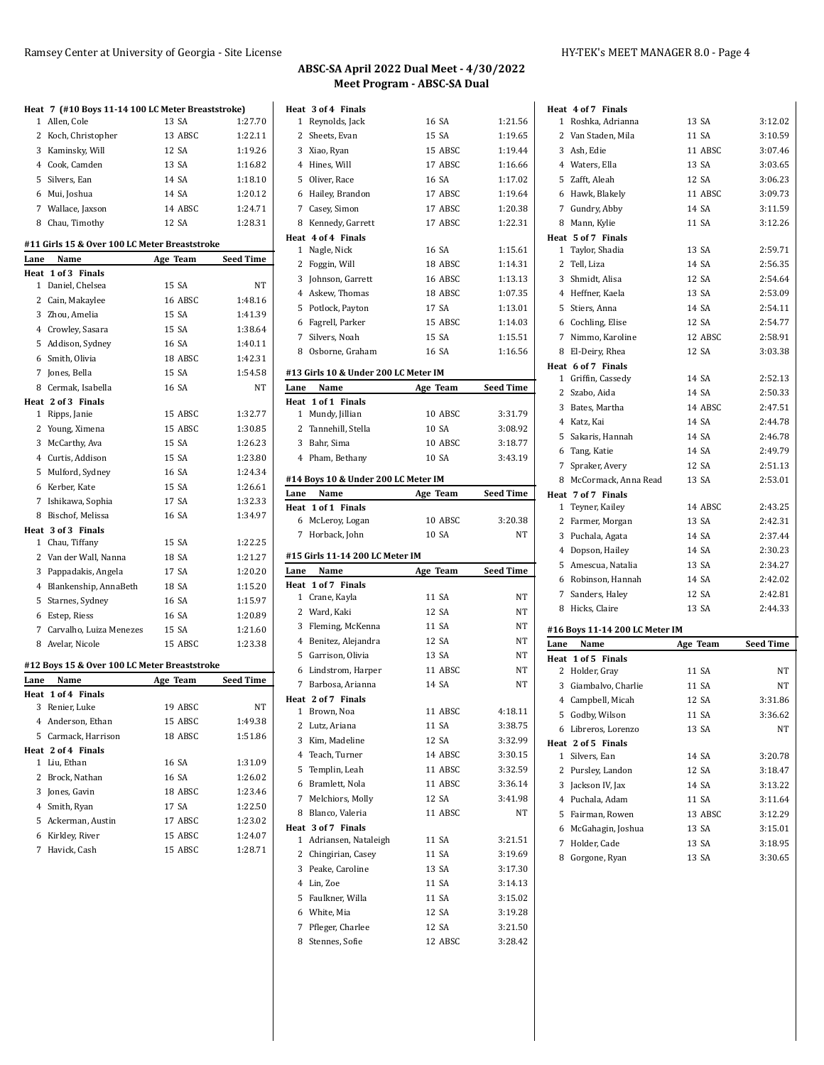## Ramsey Center at University of Georgia - Site License HY-TEK's MEET MANAGER 8.0 - Page 4

| 1            | Heat 7 (#10 Boys 11-14 100 LC Meter Breaststroke)<br>Allen, Cole | 13 SA    | 1:27.70          |
|--------------|------------------------------------------------------------------|----------|------------------|
|              |                                                                  | 13 ABSC  | 1:22.11          |
|              | 2 Koch, Christopher<br>3 Kaminsky, Will                          | 12 SA    | 1:19.26          |
|              | 4 Cook, Camden                                                   | 13 SA    | 1:16.82          |
|              |                                                                  | 14 SA    | 1:18.10          |
|              | 5 Silvers, Ean                                                   |          |                  |
|              | 6 Mui, Joshua                                                    | 14 SA    | 1:20.12          |
|              | 7 Wallace, Jaxson                                                | 14 ABSC  | 1:24.71          |
|              | 8 Chau, Timothy                                                  | 12 SA    | 1:28.31          |
|              | #11 Girls 15 & Over 100 LC Meter Breaststroke                    |          |                  |
| Lane         | Name                                                             | Age Team | Seed Time        |
|              | Heat 1 of 3 Finals                                               |          |                  |
|              | 1 Daniel, Chelsea                                                | 15 SA    | NΤ               |
|              | 2 Cain, Makaylee                                                 | 16 ABSC  | 1:48.16          |
|              | 3 Zhou, Amelia                                                   | 15 SA    | 1:41.39          |
|              | 4 Crowley, Sasara                                                | 15 SA    | 1:38.64          |
|              | 5 Addison, Sydney                                                | 16 SA    | 1:40.11          |
|              | 6 Smith, Olivia                                                  | 18 ABSC  | 1:42.31          |
|              | 7 Jones, Bella                                                   | 15 SA    | 1:54.58          |
|              | 8 Cermak, Isabella                                               | 16 SA    | NT               |
|              | Heat 2 of 3 Finals                                               |          |                  |
|              | 1 Ripps, Janie                                                   | 15 ABSC  | 1:32.77          |
|              | 2 Young, Ximena                                                  | 15 ABSC  | 1:30.85          |
|              | 3 McCarthy, Ava                                                  | 15 SA    | 1:26.23          |
|              | 4 Curtis, Addison                                                | 15 SA    | 1:23.80          |
|              | 5 Mulford, Sydney                                                | 16 SA    | 1:24.34          |
|              | 6 Kerber, Kate                                                   | 15 SA    | 1:26.61          |
|              | 7 Ishikawa, Sophia                                               | 17 SA    | 1:32.33          |
|              | 8 Bischof, Melissa                                               | 16 SA    | 1:34.97          |
|              | Heat 3 of 3 Finals                                               |          |                  |
| $\mathbf{1}$ | Chau, Tiffany                                                    | 15 SA    | 1:22.25          |
|              | 2 Van der Wall, Nanna                                            |          |                  |
|              |                                                                  | 18 SA    | 1:21.27          |
|              | 3 Pappadakis, Angela                                             | 17 SA    | 1:20.20          |
|              | 4 Blankenship, AnnaBeth                                          | 18 SA    | 1:15.20          |
| 5            | Starnes, Sydney                                                  | 16 SA    | 1:15.97          |
|              | 6 Estep, Riess                                                   | 16 SA    | 1:20.89          |
| 7            | Carvalho, Luiza Menezes                                          | 15 SA    | 1:21.60          |
|              | 8 Avelar, Nicole                                                 | 15 ABSC  | 1:23.38          |
|              | #12 Boys 15 & Over 100 LC Meter Breaststroke                     |          |                  |
| Lane         | Name                                                             | Age Team | <b>Seed Time</b> |
|              | Heat 1 of 4 Finals                                               |          |                  |
|              | 3 Renier, Luke                                                   | 19 ABSC  | NΤ               |
|              | 4 Anderson, Ethan                                                | 15 ABSC  | 1:49.38          |
|              | 5 Carmack, Harrison                                              | 18 ABSC  | 1:51.86          |
|              | Heat 2 of 4 Finals                                               |          |                  |
|              | 1 Liu, Ethan                                                     | 16 SA    | 1:31.09          |
|              | 2 Brock, Nathan                                                  | 16 SA    | 1:26.02          |
|              | 3 Jones, Gavin                                                   | 18 ABSC  | 1:23.46          |
|              | 4 Smith, Ryan                                                    | 17 SA    | 1:22.50          |
|              | 5 Ackerman, Austin                                               | 17 ABSC  | 1:23.02          |
|              | 6 Kirkley, River                                                 | 15 ABSC  | 1:24.07          |

|      | Heat 3 of 4 Finals                     |                  |                    |
|------|----------------------------------------|------------------|--------------------|
|      | 1 Reynolds, Jack                       | 16 SA            | 1:21.56            |
|      | 2 Sheets, Evan                         | 15 SA            | 1:19.65            |
|      | 3 Xiao, Ryan                           | 15 ABSC          | 1:19.44            |
|      | 4 Hines, Will                          | 17 ABSC          | 1:16.66            |
|      | 5 Oliver, Race                         | 16 SA            | 1:17.02            |
|      | 6 Hailey, Brandon                      | 17 ABSC          | 1:19.64            |
|      | 7 Casey, Simon                         | 17 ABSC          | 1:20.38            |
|      | 8 Kennedy, Garrett                     | 17 ABSC          | 1:22.31            |
|      | Heat 4 of 4 Finals                     |                  |                    |
|      | 1 Nagle, Nick                          | 16 SA            | 1:15.61            |
|      | 2 Foggin, Will                         | 18 ABSC          | 1:14.31            |
|      | 3 Johnson, Garrett                     | 16 ABSC          | 1:13.13            |
|      | 4 Askew, Thomas                        | 18 ABSC          | 1:07.35            |
|      | 5 Potlock, Payton                      | 17 SA            | 1:13.01            |
|      | 6 Fagrell, Parker                      | 15 ABSC          | 1:14.03            |
|      | 7 Silvers, Noah                        | 15 SA            | 1:15.51            |
|      | 8 Osborne, Graham                      | 16 SA            | 1:16.56            |
|      |                                        |                  |                    |
|      | #13 Girls 10 & Under 200 LC Meter IM   |                  |                    |
| Lane | Name                                   | Age Team         | <b>Seed Time</b>   |
|      | Heat 1 of 1 Finals                     |                  |                    |
|      | 1 Mundy, Jillian                       | 10 ABSC          | 3:31.79            |
|      | 2 Tannehill, Stella                    | 10 SA            | 3:08.92            |
|      | 3 Bahr, Sima                           | 10 ABSC          | 3:18.77            |
|      | 4 Pham, Bethany                        | 10 SA            | 3:43.19            |
|      | #14 Boys 10 & Under 200 LC Meter IM    |                  |                    |
| Lane | Name                                   | Age Team         | <b>Seed Time</b>   |
|      | Heat 1 of 1 Finals                     |                  |                    |
|      | 6 McLeroy, Logan                       | 10 ABSC          | 3:20.38            |
|      |                                        |                  |                    |
| 7    |                                        | 10 SA            | NΤ                 |
|      | Horback, John                          |                  |                    |
|      | #15 Girls 11-14 200 LC Meter IM        |                  |                    |
| Lane | Name                                   | Age Team         | <b>Seed Time</b>   |
| Heat | 1 of 7 Finals                          |                  |                    |
|      | 1 Crane, Kayla                         | 11 SA            | NΤ                 |
|      | 2 Ward, Kaki                           | 12 SA            | NΤ                 |
|      | 3 Fleming, McKenna                     | 11 SA            | NT                 |
|      | 4 Benitez, Alejandra                   | 12 SA            | NT                 |
|      | 5 Garrison, Olivia                     | 13 SA            | NT                 |
|      | 6 Lindstrom, Harper                    | 11 ABSC          | NΤ                 |
|      | 7 Barbosa, Arianna                     | 14 SA            | NΤ                 |
|      | Heat 2 of 7 Finals                     |                  |                    |
| 1    | Brown, Noa                             | 11 ABSC          | 4:18.11            |
|      | 2 Lutz, Ariana                         | 11 SA            | 3:38.75            |
|      | 3 Kim, Madeline                        | 12 SA            | 3:32.99            |
|      | 4 Teach, Turner                        | 14 ABSC          | 3:30.15            |
|      | 5 Templin, Leah                        | 11 ABSC          | 3:32.59            |
|      | 6 Bramlett, Nola                       | 11 ABSC          | 3:36.14            |
|      | 7 Melchiors, Molly                     | 12 SA            | 3:41.98            |
|      | 8 Blanco, Valeria                      | 11 ABSC          | NΤ                 |
|      | Heat 3 of 7 Finals                     |                  |                    |
|      | 1 Adriansen, Nataleigh                 | 11 SA            | 3:21.51            |
|      | 2 Chingirian, Casey                    | 11 SA            | 3:19.69            |
|      | 3 Peake, Caroline                      | 13 SA            | 3:17.30            |
|      | 4 Lin, Zoe                             | 11 SA            | 3:14.13            |
|      | 5 Faulkner, Willa                      | 11 SA            | 3:15.02            |
|      | 6 White, Mia                           | 12 SA            | 3:19.28            |
|      | 7 Pfleger, Charlee<br>8 Stennes, Sofie | 12 SA<br>12 ABSC | 3:21.50<br>3:28.42 |

|              | Heat 4 of 7 Finals             |          |                  |
|--------------|--------------------------------|----------|------------------|
|              | 1 Roshka, Adrianna             | 13 SA    | 3:12.02          |
|              | 2 Van Staden, Mila             | 11 SA    | 3:10.59          |
|              | 3 Ash, Edie                    | 11 ABSC  | 3:07.46          |
|              | 4 Waters, Ella                 | 13 SA    | 3:03.65          |
|              | 5 Zafft, Aleah                 | 12 SA    | 3:06.23          |
|              | 6 Hawk, Blakely                | 11 ABSC  | 3:09.73          |
|              | 7 Gundry, Abby                 | 14 SA    | 3:11.59          |
|              | 8 Mann, Kylie                  | 11 SA    | 3:12.26          |
|              | Heat 5 of 7 Finals             |          |                  |
|              | 1 Taylor, Shadia               | 13 SA    | 2:59.71          |
|              | 2 Tell, Liza                   | 14 SA    | 2:56.35          |
|              | 3 Shmidt, Alisa                | 12 SA    | 2:54.64          |
|              | 4 Heffner, Kaela               | 13 SA    | 2:53.09          |
|              | 5 Stiers, Anna                 | 14 SA    | 2:54.11          |
|              | 6 Cochling, Elise              | 12 SA    | 2:54.77          |
|              | 7 Nimmo, Karoline              | 12 ABSC  | 2:58.91          |
|              | 8 El-Deiry, Rhea               | 12 SA    | 3:03.38          |
|              | Heat 6 of 7 Finals             |          |                  |
|              | 1 Griffin, Cassedy             | 14 SA    | 2:52.13          |
|              | 2 Szabo, Aida                  | 14 SA    | 2:50.33          |
|              | 3 Bates, Martha                | 14 ABSC  | 2:47.51          |
|              | 4 Katz, Kai                    | 14 SA    | 2:44.78          |
|              | 5 Sakaris, Hannah              | 14 SA    | 2:46.78          |
|              | 6 Tang, Katie                  | 14 SA    | 2:49.79          |
| 7            | Spraker, Avery                 | 12 SA    | 2:51.13          |
|              | 8 McCormack, Anna Read         | 13 SA    | 2:53.01          |
|              | Heat 7 of 7 Finals             |          |                  |
|              |                                | 14 ABSC  | 2:43.25          |
|              |                                |          |                  |
| $\mathbf{2}$ | 1 Teyner, Kailey               | 13 SA    | 2:42.31          |
|              | Farmer, Morgan                 |          |                  |
|              | 3 Puchala, Agata               | 14 SA    | 2:37.44          |
|              | 4 Dopson, Hailey               | 14 SA    | 2:30.23          |
|              | 5 Amescua, Natalia             | 13 SA    | 2:34.27          |
|              | 6 Robinson, Hannah             | 14 SA    | 2:42.02          |
| 7            | Sanders, Haley                 | 12 SA    | 2:42.81          |
|              | 8 Hicks, Claire                | 13 SA    | 2:44.33          |
|              | #16 Boys 11-14 200 LC Meter IM |          |                  |
| Lane         | Name                           | Age Team | <b>Seed Time</b> |
|              | Heat 1 of 5 Finals             |          |                  |
|              | 2 Holder, Gray                 | 11 SA    | NΤ               |
|              | 3 Giambalvo, Charlie           | 11 SA    | <b>NT</b>        |
|              | 4 Campbell, Micah              | 12 SA    | 3:31.86          |
|              | 5 Godby, Wilson                | 11 SA    | 3:36.62          |
|              | 6 Libreros, Lorenzo            | 13 SA    | <b>NT</b>        |
|              | Heat 2 of 5 Finals             |          |                  |
| $\mathbf{1}$ | Silvers, Ean                   | 14 SA    | 3:20.78          |
|              | 2 Pursley, Landon              | 12 SA    | 3:18.47          |
|              | 3 Jackson IV, Jax              | 14 SA    | 3:13.22          |
|              | 4 Puchala, Adam                | 11 SA    | 3:11.64          |
|              | 5 Fairman, Rowen               | 13 ABSC  | 3:12.29          |
|              | 6 McGahagin, Joshua            | 13 SA    | 3:15.01          |
| 7            | Holder, Cade                   | 13 SA    | 3:18.95          |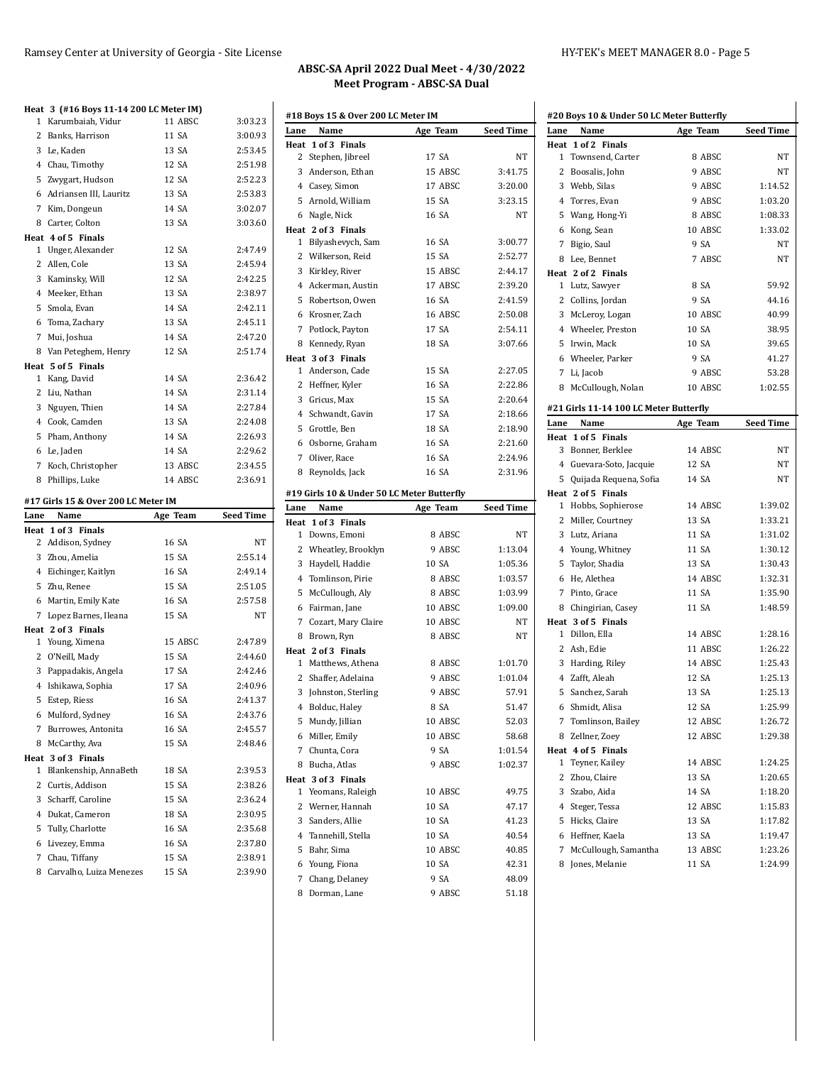|              | Heat 3 (#16 Boys 11-14 200 LC Meter IM) |                |                    |
|--------------|-----------------------------------------|----------------|--------------------|
| 1            | Karumbaiah, Vidur                       | 11 ABSC        | 3:03.23            |
| $\mathbf{2}$ | Banks, Harrison                         | 11 SA          | 3:00.93            |
|              | 3 Le, Kaden                             | 13 SA          | 2:53.45            |
|              | 4 Chau, Timothy                         | 12 SA          | 2:51.98            |
|              | 5 Zwygart, Hudson                       | 12 SA          | 2:52.23            |
|              | 6 Adriansen III, Lauritz                | 13 SA          | 2:53.83            |
|              | 7 Kim, Dongeun                          | 14 SA          | 3:02.07            |
|              | 8 Carter, Colton                        | 13 SA          | 3:03.60            |
|              | Heat 4 of 5 Finals                      |                |                    |
| 1            | Unger, Alexander                        | 12 SA          | 2:47.49            |
|              | 2 Allen, Cole                           | 13 SA          | 2:45.94            |
|              | 3 Kaminsky, Will                        | 12 SA          | 2:42.25            |
|              | 4 Meeker, Ethan                         | 13 SA          | 2:38.97            |
|              | 5 Smola, Evan                           | 14 SA          | 2:42.11            |
|              | 6 Toma, Zachary                         | 13 SA          | 2:45.11            |
| 7            | Mui, Joshua                             | 14 SA          | 2:47.20            |
|              | 8 Van Peteghem, Henry                   | 12 SA          | 2:51.74            |
|              | Heat 5 of 5 Finals                      |                |                    |
|              | 1 Kang, David                           | 14 SA          | 2:36.42            |
|              | 2 Liu, Nathan                           | 14 SA          | 2:31.14            |
|              | 3 Nguyen, Thien                         | 14 SA          | 2:27.84            |
|              | 4 Cook, Camden                          | 13 SA          | 2:24.08            |
|              | 5 Pham, Anthony                         | 14 SA          | 2:26.93            |
|              | 6 Le, Jaden                             | 14 SA          | 2:29.62            |
|              | 7 Koch, Christopher                     | 13 ABSC        | 2:34.55            |
| 8            | Phillips, Luke                          | 14 ABSC        | 2:36.91            |
|              |                                         |                |                    |
|              |                                         |                |                    |
|              | #17 Girls 15 & Over 200 LC Meter IM     |                |                    |
| Lane         | Name                                    | Age Team       | <b>Seed Time</b>   |
| Heat         | 1 of 3 Finals                           |                |                    |
|              | 2 Addison, Sydney                       | 16 SA          | NT                 |
|              | 3 Zhou, Amelia                          | 15 SA          | 2:55.14            |
|              | 4 Eichinger, Kaitlyn                    | 16 SA          | 2:49.14            |
| 5            | Zhu, Renee                              | 15 SA          | 2:51.05            |
|              | 6 Martin, Emily Kate                    | 16 SA          | 2:57.58            |
| 7            | Lopez Barnes, Ileana                    | 15 SA          | NT                 |
|              | Heat 2 of 3 Finals                      |                |                    |
|              | 1 Young, Ximena                         | 15 ABSC        | 2:47.89            |
|              | 2 O'Neill, Mady                         | 15 SA          | 2:44.60            |
|              | 3 Pappadakis, Angela                    | 17 SA          | 2:42.46            |
|              | 4 Ishikawa, Sophia                      | 17 SA          | 2:40.96            |
|              | 5 Estep, Riess                          | 16 SA          | 2:41.37            |
|              | 6 Mulford, Sydney                       | 16 SA          | 2:43.76            |
| 7            | Burrowes, Antonita                      | 16 SA          | 2:45.57            |
| 8            | McCarthy, Ava                           | 15 SA          | 2:48.46            |
|              | Heat 3 of 3 Finals                      |                |                    |
| 1            | Blankenship, AnnaBeth                   | 18 SA          | 2:39.53            |
| 2            | Curtis, Addison                         | 15 SA          | 2:38.26            |
| 3            | Scharff, Caroline                       | 15 SA          | 2:36.24            |
|              | 4 Dukat, Cameron                        | 18 SA          | 2:30.95            |
| 5            | Tully, Charlotte                        | 16 SA          | 2:35.68            |
| 6<br>7       | Livezey, Emma<br>Chau, Tiffany          | 16 SA<br>15 SA | 2:37.80<br>2:38.91 |

Carvalho, Luiza Menezes 15 SA 2:39.90

| #18 Boys 15 & Over 200 LC Meter IM         |                |                  |
|--------------------------------------------|----------------|------------------|
| Lane<br>Name                               | Age Team       | <b>Seed Time</b> |
| Heat 1 of 3 Finals                         |                |                  |
| 2<br>Stephen, Jibreel                      | 17 SA          | NΤ               |
| 3<br>Anderson, Ethan                       | 15 ABSC        | 3:41.75          |
| 4<br>Casey, Simon                          | 17 ABSC        | 3:20.00          |
| 5<br>Arnold, William                       | 15 SA          | 3:23.15          |
| 6<br>Nagle, Nick                           | 16 SA          | NΤ               |
| Heat 2 of 3 Finals                         |                |                  |
| Bilyashevych, Sam<br>1                     | 16 SA          | 3:00.77          |
| 2<br>Wilkerson, Reid                       | 15 SA          | 2:52.77          |
| 3<br>Kirkley, River                        | 15 ABSC        | 2:44.17          |
| 4<br>Ackerman, Austin                      | 17 ABSC        | 2:39.20          |
| 5<br>Robertson, Owen                       | 16 SA          | 2:41.59          |
| Krosner, Zach<br>6                         | 16 ABSC        | 2:50.08          |
| 7<br>Potlock, Payton                       | 17 SA          | 2:54.11          |
| 8<br>Kennedy, Ryan                         | 18 SA          | 3:07.66          |
| Heat 3 of 3 Finals                         |                |                  |
| Anderson, Cade<br>1                        | 15 SA          | 2:27.05          |
| 2<br>Heffner, Kyler                        | 16 SA          | 2:22.86          |
| 3<br>Gricus, Max                           | 15 SA          | 2:20.64          |
| 4<br>Schwandt, Gavin                       | 17 SA          | 2:18.66          |
| 5<br>Grottle, Ben                          | 18 SA          | 2:18.90          |
| Osborne, Graham<br>6                       | 16 SA          | 2:21.60          |
| 7<br>Oliver, Race                          | 16 SA          | 2:24.96          |
|                                            |                | 2:31.96          |
| Reynolds, Jack<br>8                        | 16 SA          |                  |
| #19 Girls 10 & Under 50 LC Meter Butterfly |                |                  |
| Name<br>Lane                               | Age Team       | <b>Seed Time</b> |
| 1 of 3 Finals<br>Heat                      |                |                  |
| Downs, Emoni<br>$\mathbf{1}$               | 8 ABSC         | NΤ               |
| 2<br>Wheatley, Brooklyn                    | 9 ABSC         | 1:13.04          |
| 3<br>Haydell, Haddie                       | 10 SA          | 1:05.36          |
| 4<br>Tomlinson, Pirie                      | 8 ABSC         | 1:03.57          |
| McCullough, Aly<br>5                       | 8 ABSC         | 1:03.99          |
| Fairman, Jane<br>6                         | 10 ABSC        | 1:09.00          |
| 7<br>Cozart, Mary Claire                   | 10 ABSC        | NΤ               |
| 8<br>Brown, Ryn                            | 8 ABSC         | NΤ               |
| Heat 2 of 3 Finals                         |                |                  |
| Matthews, Athena<br>1                      | 8 ABSC         | 1:01.70          |
| 2<br>Shaffer, Adelaina                     | 9 ABSC         | 1:01.04          |
| Johnston, Sterling<br>3                    | 9 ABSC         | 57.91            |
| 4 Bolduc, Haley                            | 8 SA           | 51.47            |
| 5 Mundy, Jillian                           | 10 ABSC        | 52.03            |
| Miller, Emily<br>6                         | 10 ABSC        | 58.68            |
| 7 Chunta, Cora                             | 9 SA           | 1:01.54          |
| Bucha, Atlas<br>8                          | 9 ABSC         | 1:02.37          |
| Heat 3 of 3 Finals                         |                |                  |
| 1 Yeomans, Raleigh                         | 10 ABSC        | 49.75            |
| 2 Werner, Hannah                           | 10 SA          | 47.17            |
| 3<br>Sanders, Allie                        | 10 SA          | 41.23            |
|                                            |                |                  |
|                                            |                |                  |
| 4 Tannehill, Stella                        | 10 SA          | 40.54            |
| Bahr, Sima<br>5                            | 10 ABSC        | 40.85            |
| Young, Fiona<br>6                          | 10 SA          | 42.31            |
| 7<br>Chang, Delaney<br>Dorman, Lane<br>8   | 9 SA<br>9 ABSC | 48.09<br>51.18   |

| #20 Boys 10 & Under 50 LC Meter Butterfly |          |                  |
|-------------------------------------------|----------|------------------|
| Name<br>Lane                              | Age Team | <b>Seed Time</b> |
| Heat 1 of 2 Finals                        |          |                  |
| 1 Townsend, Carter                        | 8 ABSC   | NΤ               |
| 2 Boosalis, John                          | 9 ABSC   | NΤ               |
| 3 Webb, Silas                             | 9 ABSC   | 1:14.52          |
| 4 Torres, Evan                            | 9 ABSC   | 1:03.20          |
| 5 Wang, Hong-Yi                           | 8 ABSC   | 1:08.33          |
| 6 Kong, Sean                              | 10 ABSC  | 1:33.02          |
| 7 Bigio, Saul                             | 9 SA     | NT               |
| 8 Lee, Bennet                             | 7 ABSC   | NT               |
| Heat 2 of 2 Finals                        |          |                  |
| 1 Lutz, Sawyer                            | 8 SA     | 59.92            |
| 2 Collins, Jordan                         | 9 SA     | 44.16            |
| 3 McLeroy, Logan                          | 10 ABSC  | 40.99            |
| 4 Wheeler, Preston                        | 10 SA    | 38.95            |
| 5 Irwin, Mack                             | 10 SA    | 39.65            |
| 6 Wheeler, Parker                         | 9 SA     | 41.27            |
| 7 Li, Jacob                               | 9 ABSC   | 53.28            |
| McCullough, Nolan<br>8                    | 10 ABSC  | 1:02.55          |
|                                           |          |                  |
| #21 Girls 11-14 100 LC Meter Butterfly    |          |                  |
| Name<br>Lane                              | Age Team | <b>Seed Time</b> |
| Heat 1 of 5 Finals                        | 14 ABSC  |                  |
| 3 Bonner, Berklee                         | 12 SA    | NT               |
| 4 Guevara-Soto, Jacquie                   |          | NT               |
| 5 Quijada Requena, Sofia                  | 14 SA    | NT               |
| Heat 2 of 5 Finals<br>1 Hobbs, Sophierose | 14 ABSC  | 1:39.02          |
| 2 Miller, Courtney                        | 13 SA    | 1:33.21          |
| 3 Lutz, Ariana                            | 11 SA    | 1:31.02          |
|                                           | 11 SA    |                  |
| 4 Young, Whitney                          |          | 1:30.12          |
| 5 Taylor, Shadia                          | 13 SA    | 1:30.43          |
| 6 He, Alethea                             | 14 ABSC  | 1:32.31          |
| 7 Pinto, Grace                            | 11 SA    | 1:35.90          |
| 8 Chingirian, Casey                       | 11 SA    | 1:48.59          |
| Heat 3 of 5 Finals                        | 14 ABSC  | 1:28.16          |
| 1 Dillon, Ella                            | 11 ABSC  | 1:26.22          |
| 2 Ash, Edie                               |          | 1:25.43          |
| 3 Harding, Riley                          | 14 ABSC  |                  |
| 4 Zafft, Aleah                            | 12 SA    | 1:25.13          |
| 5 Sanchez, Sarah                          | 13 SA    | 1:25.13          |
| Shmidt, Alisa<br>6                        | 12 SA    | 1:25.99          |
| 7 Tomlinson, Bailey                       | 12 ABSC  | 1:26.72          |
| 8 Zellner, Zoev                           | 12 ABSC  | 1:29.38          |
| Heat 4 of 5 Finals                        |          |                  |
| 1 Teyner, Kailey                          | 14 ABSC  | 1:24.25          |
| 2 Zhou, Claire                            | 13 SA    | 1:20.65          |
| 3 Szabo, Aida                             | 14 SA    | 1:18.20          |
| 4 Steger, Tessa                           | 12 ABSC  | 1:15.83          |
| 5 Hicks, Claire                           | 13 SA    | 1:17.82          |
| 6 Heffner, Kaela                          | 13 SA    | 1:19.47          |
| 7 McCullough, Samantha                    | 13 ABSC  | 1:23.26          |
| 8 Jones, Melanie                          | 11 SA    | 1:24.99          |
|                                           |          |                  |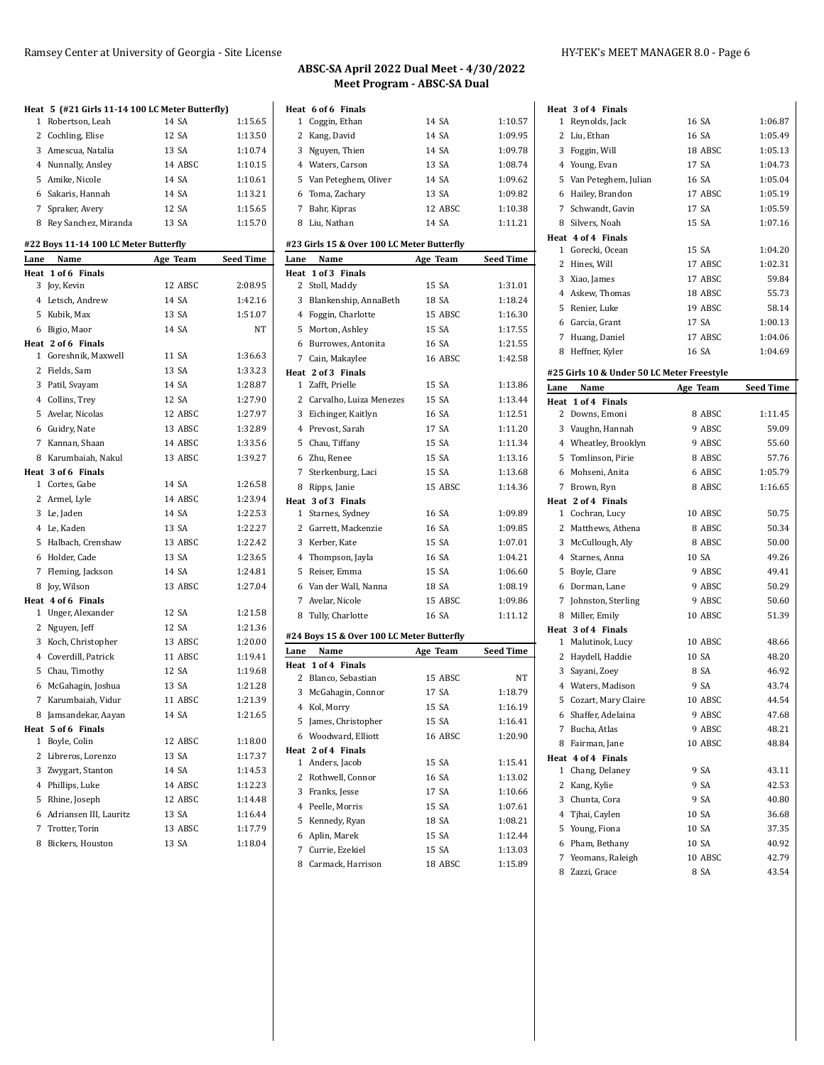### Ramsey Center at University of Georgia - Site License HY-TEK's MEET MANAGER 8.0 - Page 6

|      | Heat 5 (#21 Girls 11-14 100 LC Meter Butterfly) |          |           |
|------|-------------------------------------------------|----------|-----------|
| 1    | Robertson, Leah                                 | 14 SA    | 1:15.65   |
|      | 2 Cochling, Elise                               | 12 SA    | 1:13.50   |
|      | 3 Amescua, Natalia                              | 13 SA    | 1:10.74   |
|      | 4 Nunnally, Ansley                              | 14 ABSC  | 1:10.15   |
|      | 5 Amike, Nicole                                 | 14 SA    | 1:10.61   |
|      | 6 Sakaris, Hannah                               | 14 SA    | 1:13.21   |
| 7    | Spraker, Avery                                  | 12 SA    | 1:15.65   |
|      | 8 Rey Sanchez, Miranda                          | 13 SA    | 1:15.70   |
|      | #22 Boys 11-14 100 LC Meter Butterfly           |          |           |
| Lane | Name                                            | Age Team | Seed Time |
|      | Heat 1 of 6 Finals                              |          |           |
|      | 3 Joy, Kevin                                    | 12 ABSC  | 2:08.95   |
|      | 4 Letsch, Andrew                                | 14 SA    | 1:42.16   |
|      | 5 Kubik, Max                                    | 13 SA    | 1:51.07   |
|      | 6 Bigio, Maor                                   | 14 SA    | NT        |
|      | Heat 2 of 6 Finals                              |          |           |
|      | 1 Goreshnik, Maxwell                            | 11 SA    | 1:36.63   |
|      | 2 Fields, Sam                                   | 13 SA    | 1:33.23   |
|      | 3 Patil, Svayam                                 | 14 SA    | 1:28.87   |
|      | 4 Collins, Trey                                 | 12 SA    | 1:27.90   |
|      | 5 Avelar, Nicolas                               | 12 ABSC  | 1:27.97   |
|      | 6 Guidry, Nate                                  | 13 ABSC  | 1:32.89   |
|      | 7 Kannan, Shaan                                 | 14 ABSC  | 1:33.56   |
|      | 8 Karumbaiah. Nakul                             | 13 ABSC  | 1:39.27   |
|      | Heat 3 of 6 Finals                              |          |           |
|      | 1 Cortes, Gabe                                  | 14 SA    | 1:26.58   |
|      | 2 Armel, Lyle                                   | 14 ABSC  | 1:23.94   |
|      | 3 Le, Jaden                                     | 14 SA    | 1:22.53   |
|      | 4 Le, Kaden                                     | 13 SA    | 1:22.27   |
|      | 5 Halbach, Crenshaw                             | 13 ABSC  | 1:22.42   |
|      | 6 Holder, Cade                                  | 13 SA    | 1:23.65   |
|      | 7 Fleming, Jackson                              | 14 SA    | 1:24.81   |
|      | 8 Joy, Wilson                                   | 13 ABSC  | 1:27.04   |
|      | Heat 4 of 6 Finals                              |          |           |
|      | 1 Unger, Alexander                              | 12 SA    | 1:21.58   |
|      | 2 Nguyen, Jeff                                  | 12 SA    | 1:21.36   |
|      | 3 Koch, Christopher                             | 13 ABSC  | 1:20.00   |
|      | 4 Coverdill, Patrick                            | 11 ABSC  | 1:19.41   |
|      | 5 Chau, Timothy                                 | 12 SA    | 1:19.68   |
|      | 6 McGahagin, Joshua                             | 13 SA    | 1:21.28   |
|      | 7 Karumbaiah, Vidur                             | 11 ABSC  | 1:21.39   |
|      | 8 Jamsandekar, Aayan                            | 14 SA    | 1:21.65   |
|      | Heat 5 of 6 Finals                              |          |           |
| 1    | Boyle, Colin                                    | 12 ABSC  | 1:18.00   |
|      | 2 Libreros, Lorenzo                             | 13 SA    | 1:17.37   |
|      | 3 Zwygart, Stanton                              | 14 SA    | 1:14.53   |
|      | 4 Phillips, Luke                                | 14 ABSC  | 1:12.23   |
|      | 5 Rhine, Joseph                                 | 12 ABSC  | 1:14.48   |
|      | 6 Adriansen III, Lauritz                        | 13 SA    | 1:16.44   |
| 7    | Trotter, Torin                                  | 13 ABSC  | 1:17.79   |
|      | 8 Bickers, Houston                              | 13 SA    | 1:18.04   |

|      | Heat 6 of 6 Finals                         |          |                  |
|------|--------------------------------------------|----------|------------------|
| 1    | Coggin, Ethan                              | 14 SA    | 1:10.57          |
|      | 2 Kang, David                              | 14 SA    | 1:09.95          |
|      | 3 Nguyen, Thien                            | 14 SA    | 1:09.78          |
|      | 4 Waters, Carson                           | 13 SA    | 1:08.74          |
|      | 5 Van Peteghem, Oliver                     | 14 SA    | 1:09.62          |
|      | 6 Toma, Zachary                            | 13 SA    | 1:09.82          |
|      | 7 Bahr, Kipras                             | 12 ABSC  | 1:10.38          |
|      | 8 Liu, Nathan                              | 14 SA    | 1:11.21          |
|      | #23 Girls 15 & Over 100 LC Meter Butterfly |          |                  |
| Lane | Name                                       | Age Team | <b>Seed Time</b> |
|      | Heat 1 of 3 Finals                         |          |                  |
|      | 2 Stoll, Maddy                             | 15 SA    | 1:31.01          |
|      | 3 Blankenship, AnnaBeth                    | 18 SA    | 1:18.24          |
|      | 4 Foggin, Charlotte                        | 15 ABSC  | 1:16.30          |
|      | 5 Morton, Ashley                           | 15 SA    | 1:17.55          |
|      | 6 Burrowes, Antonita                       | 16 SA    | 1:21.55          |
|      | 7 Cain, Makaylee                           | 16 ABSC  | 1:42.58          |
|      | Heat 2 of 3 Finals                         |          |                  |
|      | 1 Zafft, Prielle                           | 15 SA    | 1:13.86          |
|      | 2 Carvalho, Luiza Menezes                  | 15 SA    | 1:13.44          |
|      | 3 Eichinger, Kaitlyn                       | 16 SA    | 1:12.51          |
|      | 4 Prevost, Sarah                           | 17 SA    | 1:11.20          |
|      | 5 Chau, Tiffany                            | 15 SA    | 1:11.34          |
|      | 6 Zhu, Renee                               | 15 SA    | 1:13.16          |
|      | 7 Sterkenburg, Laci                        | 15 SA    | 1:13.68          |
|      | 8 Ripps, Janie                             | 15 ABSC  | 1:14.36          |
|      | Heat 3 of 3 Finals                         |          |                  |
|      | 1 Starnes, Sydney                          | 16 SA    | 1:09.89          |
|      | 2 Garrett, Mackenzie                       | 16 SA    | 1:09.85          |
|      | 3 Kerber, Kate                             | 15 SA    | 1:07.01          |
|      | 4 Thompson, Jayla                          | 16 SA    | 1:04.21          |
|      | 5 Reiser, Emma                             | 15 SA    | 1:06.60          |
|      | 6 Van der Wall, Nanna                      | 18 SA    | 1:08.19          |
|      | 7 Avelar, Nicole                           | 15 ABSC  | 1:09.86          |
|      | 8 Tully, Charlotte                         | 16 SA    | 1:11.12          |
|      | #24 Boys 15 & Over 100 LC Meter Butterfly  |          |                  |
| Lane | Name                                       | Age Team | <b>Seed Time</b> |
|      | Heat 1 of 4 Finals                         |          |                  |
|      | 2 Blanco, Sebastian                        | 15 ABSC  | NΤ               |
|      | 3 McGahagin, Connor                        | 17 SA    | 1:18.79          |
|      | 4 Kol, Morry                               | 15 SA    | 1:16.19          |
|      | 5 James, Christopher                       | 15 SA    | 1:16.41          |
|      | 6 Woodward, Elliott                        | 16 ABSC  | 1:20.90          |
|      | Heat 2 of 4 Finals                         |          |                  |
|      | 1 Anders, Jacob                            | 15 SA    | 1:15.41          |
| 2    | Rothwell, Connor                           | 16 SA    | 1:13.02          |
|      | 3 Franks, Jesse                            | 17 SA    | 1:10.66          |
|      | 4 Peelle, Morris                           | 15 SA    | 1:07.61          |
|      | 5 Kennedy, Ryan                            | 18 SA    | 1:08.21          |
|      | 6 Aplin, Marek                             | 15 SA    | 1:12.44          |
| 7    | Currie, Ezekiel                            | 15 SA    | 1:13.03          |
|      | 8 Carmack, Harrison                        | 18 ABSC  | 1:15.89          |

| Heat 3 of 4 Finals                                         |          |           |
|------------------------------------------------------------|----------|-----------|
| 1 Reynolds, Jack                                           | 16 SA    | 1:06.87   |
| 2 Liu, Ethan                                               | 16 SA    | 1:05.49   |
| 3 Foggin, Will                                             | 18 ABSC  | 1:05.13   |
| 4 Young, Evan                                              | 17 SA    | 1:04.73   |
| 5 Van Peteghem, Julian                                     | 16 SA    | 1:05.04   |
| 6 Hailey, Brandon                                          | 17 ABSC  | 1:05.19   |
| 7 Schwandt, Gavin                                          | 17 SA    | 1:05.59   |
| 8 Silvers, Noah                                            | 15 SA    | 1:07.16   |
| Heat 4 of 4 Finals                                         |          |           |
| 1 Gorecki, Ocean                                           | 15 SA    | 1:04.20   |
| 2 Hines, Will                                              | 17 ABSC  | 1:02.31   |
| 3 Xiao, James                                              | 17 ABSC  | 59.84     |
| 4 Askew, Thomas                                            | 18 ABSC  | 55.73     |
| 5 Renier, Luke                                             | 19 ABSC  | 58.14     |
| 6 Garcia, Grant                                            | 17 SA    | 1:00.13   |
| 7 Huang, Daniel                                            | 17 ABSC  | 1:04.06   |
| 8 Heffner, Kyler                                           | 16 SA    | 1:04.69   |
|                                                            |          |           |
| #25 Girls 10 & Under 50 LC Meter Freestyle<br>Name<br>Lane | Age Team | Seed Time |
| Heat 1 of 4 Finals                                         |          |           |
| 2 Downs, Emoni                                             | 8 ABSC   | 1:11.45   |
| 3 Vaughn, Hannah                                           | 9 ABSC   | 59.09     |
| 4 Wheatley, Brooklyn                                       | 9 ABSC   | 55.60     |
| 5 Tomlinson, Pirie                                         | 8 ABSC   | 57.76     |
| 6 Mohseni. Anita                                           | 6 ABSC   | 1:05.79   |
| 7 Brown, Ryn                                               | 8 ABSC   | 1:16.65   |
| Heat 2 of 4 Finals                                         |          |           |
| 1 Cochran, Lucy                                            | 10 ABSC  | 50.75     |
| 2 Matthews, Athena                                         | 8 ABSC   | 50.34     |
| 3 McCullough, Aly                                          | 8 ABSC   | 50.00     |
| 4 Starnes, Anna                                            | 10 SA    | 49.26     |
| 5 Boyle, Clare                                             | 9 ABSC   | 49.41     |
| 6 Dorman, Lane                                             | 9 ABSC   | 50.29     |
| 7 Johnston, Sterling                                       | 9 ABSC   | 50.60     |
| 8 Miller, Emily                                            | 10 ABSC  | 51.39     |
| Heat 3 of 4 Finals                                         |          |           |
| 1 Malutinok, Lucy                                          | 10 ABSC  | 48.66     |
| 2 Haydell, Haddie                                          | 10 SA    | 48.20     |
| 3 Sayani, Zoey                                             |          |           |
|                                                            | 8 SA     | 46.92     |
| 4 Waters, Madison                                          | 9 SA     | 43.74     |
| 5 Cozart, Mary Claire                                      | 10 ABSC  | 44.54     |
| Shaffer, Adelaina<br>6                                     | 9 ABSC   | 47.68     |
| 7<br>Bucha, Atlas                                          | 9 ABSC   | 48.21     |
| 8 Fairman, Jane                                            | 10 ABSC  | 48.84     |
| Heat 4 of 4 Finals                                         |          |           |
| $\mathbf{1}$<br>Chang, Delaney                             | 9 SA     | 43.11     |
| $\mathbf{2}$<br>Kang, Kylie                                | 9 SA     | 42.53     |
| 3 Chunta, Cora                                             | 9 SA     | 40.80     |
| 4 Tjhai, Caylen                                            | 10 SA    | 36.68     |
| 5 Young, Fiona                                             | 10 SA    | 37.35     |
| 6 Pham, Bethany                                            | 10 SA    | 40.92     |
| 7<br>Yeomans, Raleigh                                      | 10 ABSC  | 42.79     |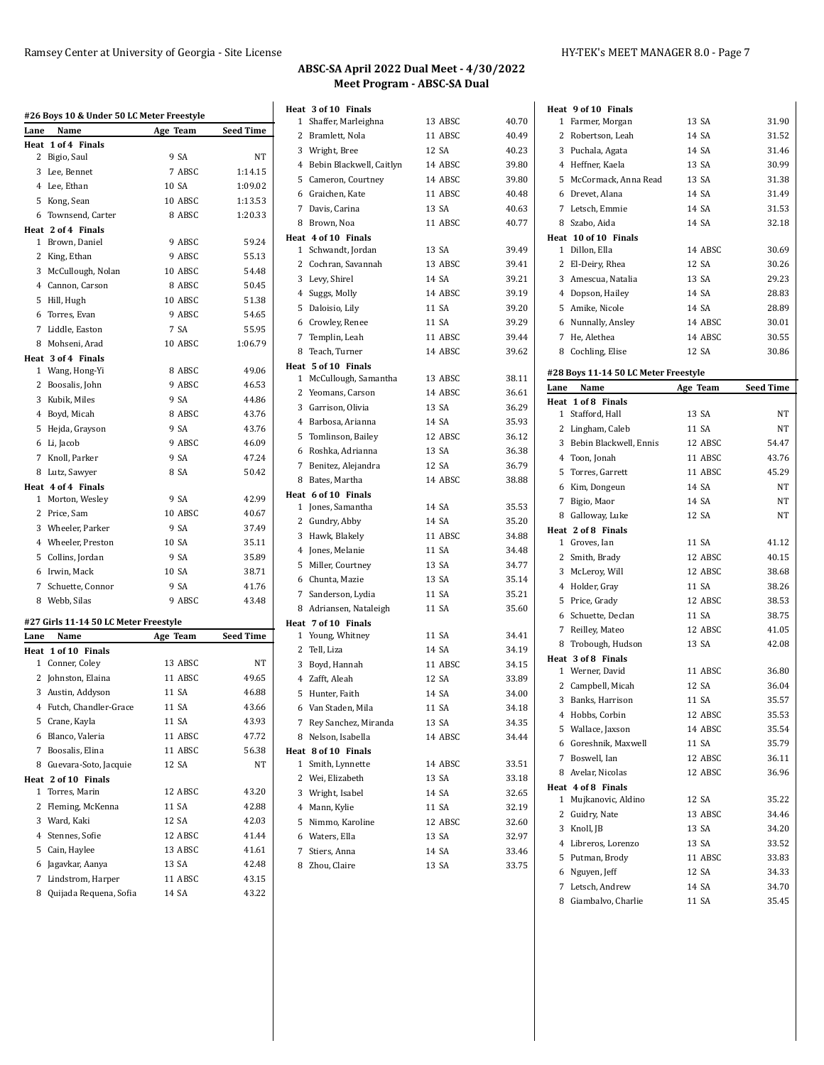|              | #26 Boys 10 & Under 50 LC Meter Freestyle |          |                  |
|--------------|-------------------------------------------|----------|------------------|
| Lane         | Name                                      | Age Team | Seed Time        |
|              | Heat 1 of 4 Finals                        |          |                  |
|              | 2 Bigio, Saul                             | 9 SA     | NT               |
|              | 3 Lee, Bennet                             | 7 ABSC   | 1:14.15          |
|              | 4 Lee, Ethan                              | 10 SA    | 1:09.02          |
|              | 5 Kong, Sean                              | 10 ABSC  | 1:13.53          |
|              | 6 Townsend, Carter                        | 8 ABSC   | 1:20.33          |
|              | Heat 2 of 4 Finals                        |          |                  |
|              | 1 Brown, Daniel                           | 9 ABSC   | 59.24            |
|              | 2 King, Ethan                             | 9 ABSC   | 55.13            |
|              | 3 McCullough, Nolan                       | 10 ABSC  | 54.48            |
|              | 4 Cannon, Carson                          | 8 ABSC   | 50.45            |
| 5            | Hill, Hugh                                | 10 ABSC  | 51.38            |
|              | 6 Torres, Evan                            | 9 ABSC   | 54.65            |
|              | 7 Liddle, Easton                          | 7 SA     | 55.95            |
|              | 8 Mohseni, Arad                           | 10 ABSC  | 1:06.79          |
|              | Heat 3 of 4 Finals                        |          |                  |
| $\mathbf{1}$ | Wang, Hong-Yi                             | 8 ABSC   | 49.06            |
|              | 2 Boosalis, John                          | 9 ABSC   | 46.53            |
|              | 3 Kubik, Miles                            | 9 SA     | 44.86            |
|              | 4 Boyd, Micah                             | 8 ABSC   | 43.76            |
|              | 5 Hejda, Grayson                          | 9 SA     | 43.76            |
|              | 6 Li, Jacob                               | 9 ABSC   | 46.09            |
|              | 7 Knoll, Parker                           | 9 SA     | 47.24            |
|              | 8 Lutz, Sawyer                            | 8 SA     | 50.42            |
|              | Heat 4 of 4 Finals                        |          |                  |
|              | 1 Morton, Wesley                          | 9 SA     | 42.99            |
|              | 2 Price, Sam                              | 10 ABSC  | 40.67            |
|              | 3 Wheeler, Parker                         | 9 SA     | 37.49            |
|              | 4 Wheeler, Preston                        | 10 SA    | 35.11            |
|              | 5 Collins, Jordan                         | 9 SA     | 35.89            |
|              | 6 Irwin, Mack                             | 10 SA    | 38.71            |
| $7^{\circ}$  | Schuette, Connor                          | 9 SA     | 41.76            |
|              | 8 Webb, Silas                             | 9 ABSC   | 43.48            |
|              | #27 Girls 11-14 50 LC Meter Freestyle     |          |                  |
| Lane         | Name                                      | Age Team | <b>Seed Time</b> |
|              | Heat 1 of 10 Finals                       |          |                  |
|              | 1 Conner, Coley                           | 13 ABSC  | NT               |
|              | 2 Johnston, Elaina                        | 11 ABSC  | 49.65            |
|              | 3 Austin, Addyson                         | 11 SA    | 46.88            |
| 4            | Futch, Chandler-Grace                     | 11 SA    | 43.66            |
|              | 5 Crane, Kayla                            | 11 SA    | 43.93            |
|              | 6 Blanco, Valeria                         | 11 ABSC  | 47.72            |
|              | 7 Boosalis, Elina                         | 11 ABSC  | 56.38            |
|              | 8 Guevara-Soto, Jacquie                   | 12 SA    | NT               |
|              | Heat 2 of 10 Finals                       |          |                  |
| $\mathbf{1}$ | Torres, Marin                             | 12 ABSC  | 43.20            |
| 2            | Fleming, McKenna                          | 11 SA    | 42.88            |
|              | 3 Ward, Kaki                              | 12 SA    | 42.03            |
|              | 4 Stennes, Sofie                          | 12 ABSC  | 41.44            |
|              | 5 Cain, Haylee                            | 13 ABSC  | 41.61            |
|              | 6 Jagavkar, Aanya                         | 13 SA    | 42.48            |
|              |                                           | 11 ABSC  | 43.15            |
|              | 7 Lindstrom, Harper                       |          | 43.22            |
| 8            | Quijada Requena, Sofia                    | 14 SA    |                  |

| Heat 3 of 10 Finals                 |         |       |
|-------------------------------------|---------|-------|
| Shaffer, Marleighna<br>$\mathbf{1}$ | 13 ABSC | 40.70 |
| 2<br>Bramlett, Nola                 | 11 ABSC | 40.49 |
| 3 Wright, Bree                      | 12 SA   | 40.23 |
| 4 Bebin Blackwell, Caitlyn          | 14 ABSC | 39.80 |
| 5 Cameron, Courtney                 | 14 ABSC | 39.80 |
| Graichen, Kate<br>6                 | 11 ABSC | 40.48 |
| 7<br>Davis, Carina                  | 13 SA   | 40.63 |
| Brown, Noa<br>8                     | 11 ABSC | 40.77 |
| Heat 4 of 10 Finals                 |         |       |
| 1 Schwandt, Jordan                  | 13 SA   | 39.49 |
| Cochran, Savannah<br>2              | 13 ABSC | 39.41 |
| 3 Levy, Shirel                      | 14 SA   | 39.21 |
| 4 Suggs, Molly                      | 14 ABSC | 39.19 |
| 5<br>Daloisio, Lily                 | 11 SA   | 39.20 |
| Crowley, Renee<br>6                 | 11 SA   | 39.29 |
| 7 Templin, Leah                     | 11 ABSC | 39.44 |
| 8 Teach, Turner                     | 14 ABSC | 39.62 |
| Heat 5 of 10 Finals                 |         |       |
| 1 McCullough, Samantha              | 13 ABSC | 38.11 |
| 2 Yeomans, Carson                   | 14 ABSC | 36.61 |
| 3 Garrison, Olivia                  | 13 SA   | 36.29 |
| 4 Barbosa, Arianna                  | 14 SA   | 35.93 |
| 5<br>Tomlinson, Bailey              | 12 ABSC | 36.12 |
| Roshka, Adrianna<br>6               | 13 SA   | 36.38 |
| 7 Benitez, Alejandra                | 12 SA   | 36.79 |
| 8 Bates, Martha                     | 14 ABSC | 38.88 |
| Heat 6 of 10 Finals                 |         |       |
| 1 Jones, Samantha                   | 14 SA   | 35.53 |
| 2 Gundry, Abby                      | 14 SA   | 35.20 |
| 3<br>Hawk, Blakely                  | 11 ABSC | 34.88 |
| 4<br>Jones, Melanie                 | 11 SA   | 34.48 |
| 5<br>Miller, Courtney               | 13 SA   | 34.77 |
| 6 Chunta, Mazie                     | 13 SA   | 35.14 |
| 7<br>Sanderson, Lydia               | 11 SA   | 35.21 |
| 8 Adriansen, Nataleigh              | 11 SA   | 35.60 |
| Heat 7 of 10 Finals                 |         |       |
| 1 Young, Whitney                    | 11 SA   | 34.41 |
| $\overline{2}$<br>Tell, Liza        | 14 SA   | 34.19 |
| 3 Boyd, Hannah                      | 11 ABSC | 34.15 |
| 4 Zafft, Aleah                      | 12 SA   | 33.89 |
| 5<br>Hunter, Faith                  | 14 SA   | 34.00 |
| 6 Van Staden, Mila                  | 11 SA   | 34.18 |
| 7 Rey Sanchez, Miranda              | 13 SA   | 34.35 |
| 8 Nelson, Isabella                  | 14 ABSC | 34.44 |
| Heat 8 of 10 Finals                 |         |       |
| Smith, Lynnette<br>1                | 14 ABSC | 33.51 |
| 2 Wei, Elizabeth                    | 13 SA   | 33.18 |
| 3 Wright, Isabel                    | 14 SA   | 32.65 |
| Mann, Kylie<br>4                    | 11 SA   | 32.19 |
| 5<br>Nimmo, Karoline                | 12 ABSC | 32.60 |
| 6 Waters, Ella                      | 13 SA   | 32.97 |
| 7<br>Stiers, Anna                   | 14 SA   | 33.46 |
| 8 Zhou, Claire                      | 13 SA   | 33.75 |

|              | Heat 9 of 10 Finals                  |          |                  |
|--------------|--------------------------------------|----------|------------------|
|              | 1 Farmer, Morgan                     | 13 SA    | 31.90            |
|              | 2 Robertson, Leah                    | 14 SA    | 31.52            |
|              | 3 Puchala, Agata                     | 14 SA    | 31.46            |
|              | 4 Heffner, Kaela                     | 13 SA    | 30.99            |
|              | 5 McCormack, Anna Read               | 13 SA    | 31.38            |
|              | 6 Drevet, Alana                      | 14 SA    | 31.49            |
| 7            | Letsch, Emmie                        | 14 SA    | 31.53            |
|              | 8 Szabo, Aida                        | 14 SA    | 32.18            |
|              | Heat 10 of 10 Finals                 |          |                  |
|              | 1 Dillon, Ella                       | 14 ABSC  | 30.69            |
|              | 2 El-Deiry, Rhea                     | 12 SA    | 30.26            |
|              | 3 Amescua, Natalia                   | 13 SA    | 29.23            |
|              | 4 Dopson, Hailey                     | 14 SA    | 28.83            |
|              | 5 Amike, Nicole                      | 14 SA    | 28.89            |
|              | 6 Nunnally, Ansley                   | 14 ABSC  | 30.01            |
| 7            | He, Alethea                          | 14 ABSC  | 30.55            |
|              | 8 Cochling, Elise                    | 12 SA    | 30.86            |
|              |                                      |          |                  |
|              | #28 Boys 11-14 50 LC Meter Freestyle |          |                  |
| Lane         | Name                                 | Age Team | <b>Seed Time</b> |
|              | Heat 1 of 8 Finals                   |          |                  |
|              | 1 Stafford, Hall                     | 13 SA    | NΤ               |
|              | 2 Lingham, Caleb                     | 11 SA    | NΤ               |
|              | 3 Bebin Blackwell, Ennis             | 12 ABSC  | 54.47            |
|              | 4 Toon, Jonah                        | 11 ABSC  | 43.76            |
|              | 5 Torres, Garrett                    | 11 ABSC  | 45.29            |
|              | 6 Kim, Dongeun                       | 14 SA    | NΤ               |
| 7            | Bigio, Maor                          | 14 SA    | NΤ               |
|              | 8 Galloway, Luke                     | 12 SA    | NT               |
|              | Heat 2 of 8 Finals                   |          |                  |
|              | 1 Groves, Ian                        | 11 SA    | 41.12            |
| 2            | Smith, Brady                         | 12 ABSC  | 40.15            |
|              | 3 McLeroy, Will                      | 12 ABSC  | 38.68            |
|              | 4 Holder, Gray                       | 11 SA    | 38.26            |
|              | 5 Price, Grady                       | 12 ABSC  | 38.53            |
|              | 6 Schuette, Declan                   | 11 SA    | 38.75            |
| 7            | Reilley, Mateo                       | 12 ABSC  | 41.05            |
|              | 8 Trobough, Hudson                   | 13 SA    | 42.08            |
|              | Heat 3 of 8 Finals                   |          |                  |
|              | 1 Werner, David                      | 11 ABSC  | 36.80            |
| 2            | Campbell, Micah                      | 12 SA    | 36.04            |
| 3            | Banks, Harrison                      | 11 SA    | 35.57            |
|              | 4 Hobbs, Corbin                      | 12 ABSC  | 35.53            |
|              | 5 Wallace, Jaxson                    | 14 ABSC  | 35.54            |
|              | 6 Goreshnik, Maxwell                 | 11 SA    | 35.79            |
|              | 7 Boswell, Ian                       | 12 ABSC  | 36.11            |
|              | 8 Avelar, Nicolas                    | 12 ABSC  | 36.96            |
|              | Heat 4 of 8 Finals                   |          |                  |
| $\mathbf{1}$ | Mujkanovic, Aldino                   | 12 SA    | 35.22            |
| 2            | Guidry, Nate                         | 13 ABSC  | 34.46            |
|              | 3 Knoll, JB                          | 13 SA    | 34.20            |
|              | 4 Libreros, Lorenzo                  | 13 SA    | 33.52            |
|              | 5 Putman, Brody                      | 11 ABSC  | 33.83            |
|              | 6 Nguyen, Jeff                       | 12 SA    | 34.33            |
|              | 7 Letsch, Andrew                     | 14 SA    | 34.70            |
|              | 8 Giambalvo, Charlie                 | 11 SA    | 35.45            |
|              |                                      |          |                  |